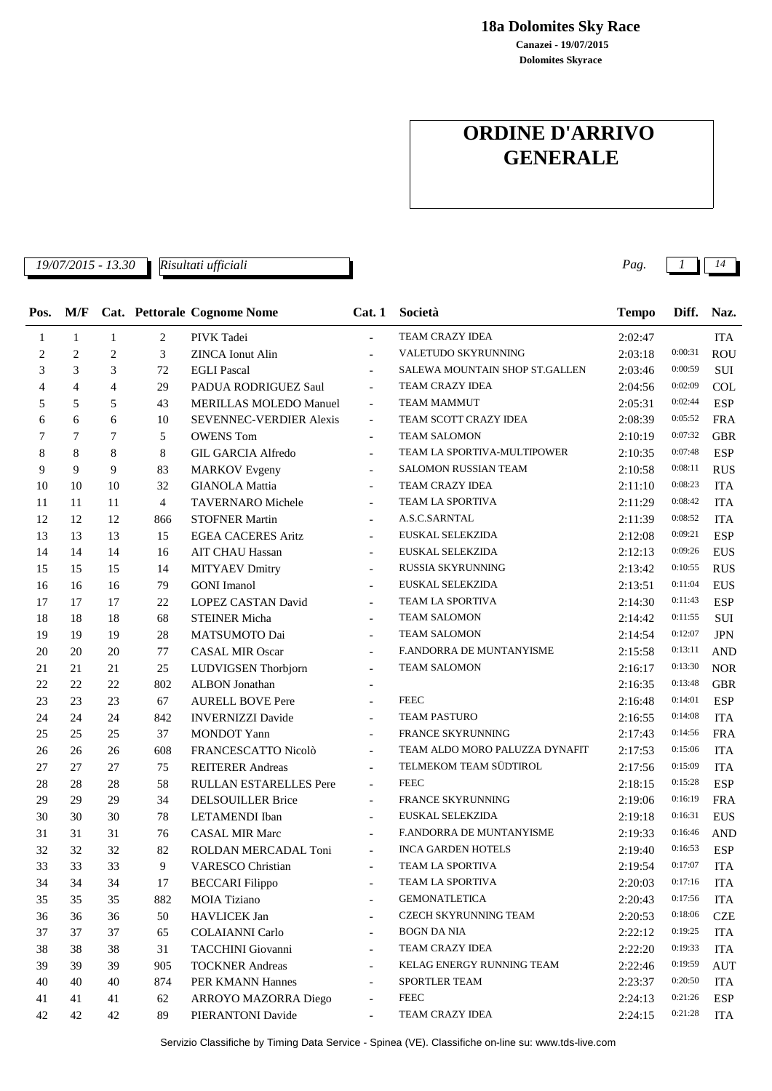**18a Dolomites Sky Race**

**Dolomites Skyrace Canazei - 19/07/2015**

## **ORDINE D'ARRIVO GENERALE**

*19/07/2015 - 13.30 Pag. 1 14*

*Risultati ufficiali*

| Pos.           | M/F            |                |                | Cat. Pettorale Cognome Nome   | Cat.1                    | Società                        | <b>Tempo</b> | Diff.   | Naz.       |
|----------------|----------------|----------------|----------------|-------------------------------|--------------------------|--------------------------------|--------------|---------|------------|
| 1              | $\mathbf{1}$   | $\mathbf{1}$   | $\overline{c}$ | PIVK Tadei                    | $\overline{\phantom{a}}$ | TEAM CRAZY IDEA                | 2:02:47      |         | <b>ITA</b> |
| 2              | $\overline{2}$ | $\overline{2}$ | 3              | <b>ZINCA Ionut Alin</b>       | $\overline{a}$           | VALETUDO SKYRUNNING            | 2:03:18      | 0:00:31 | <b>ROU</b> |
| 3              | 3              | 3              | 72             | <b>EGLI Pascal</b>            |                          | SALEWA MOUNTAIN SHOP ST.GALLEN | 2:03:46      | 0:00:59 | SUI        |
| $\overline{4}$ | $\overline{4}$ | $\overline{4}$ | 29             | PADUA RODRIGUEZ Saul          | $\overline{\phantom{a}}$ | TEAM CRAZY IDEA                | 2:04:56      | 0:02:09 | <b>COL</b> |
| 5              | 5              | 5              | 43             | MERILLAS MOLEDO Manuel        | $\overline{\phantom{a}}$ | <b>TEAM MAMMUT</b>             | 2:05:31      | 0:02:44 | <b>ESP</b> |
| 6              | 6              | 6              | 10             | SEVENNEC-VERDIER Alexis       | $\overline{\phantom{a}}$ | TEAM SCOTT CRAZY IDEA          | 2:08:39      | 0:05:52 | <b>FRA</b> |
| 7              | 7              | 7              | 5              | <b>OWENS Tom</b>              |                          | <b>TEAM SALOMON</b>            | 2:10:19      | 0:07:32 | <b>GBR</b> |
| 8              | 8              | 8              | 8              | <b>GIL GARCIA Alfredo</b>     | $\blacksquare$           | TEAM LA SPORTIVA-MULTIPOWER    | 2:10:35      | 0:07:48 | <b>ESP</b> |
| 9              | 9              | 9              | 83             | <b>MARKOV</b> Evgeny          |                          | SALOMON RUSSIAN TEAM           | 2:10:58      | 0:08:11 | <b>RUS</b> |
| 10             | 10             | 10             | 32             | <b>GIANOLA</b> Mattia         | $\overline{a}$           | TEAM CRAZY IDEA                | 2:11:10      | 0:08:23 | <b>ITA</b> |
| 11             | 11             | 11             | 4              | TAVERNARO Michele             |                          | TEAM LA SPORTIVA               | 2:11:29      | 0:08:42 | <b>ITA</b> |
| 12             | 12             | 12             | 866            | <b>STOFNER Martin</b>         | $\overline{\phantom{a}}$ | A.S.C.SARNTAL                  | 2:11:39      | 0:08:52 | <b>ITA</b> |
| 13             | 13             | 13             | 15             | <b>EGEA CACERES Aritz</b>     | $\overline{\phantom{a}}$ | EUSKAL SELEKZIDA               | 2:12:08      | 0:09:21 | ESP        |
| 14             | 14             | 14             | 16             | <b>AIT CHAU Hassan</b>        | $\overline{\phantom{a}}$ | EUSKAL SELEKZIDA               | 2:12:13      | 0:09:26 | <b>EUS</b> |
| 15             | 15             | 15             | 14             | <b>MITYAEV Dmitry</b>         |                          | RUSSIA SKYRUNNING              | 2:13:42      | 0:10:55 | <b>RUS</b> |
| 16             | 16             | 16             | 79             | <b>GONI</b> Imanol            | $\overline{\phantom{a}}$ | EUSKAL SELEKZIDA               | 2:13:51      | 0:11:04 | EUS        |
| 17             | 17             | 17             | 22             | LOPEZ CASTAN David            | $\overline{\phantom{a}}$ | TEAM LA SPORTIVA               | 2:14:30      | 0:11:43 | <b>ESP</b> |
| 18             | 18             | 18             | 68             | <b>STEINER Micha</b>          | $\overline{\phantom{a}}$ | <b>TEAM SALOMON</b>            | 2:14:42      | 0:11:55 | SUI        |
| 19             | 19             | 19             | 28             | MATSUMOTO Dai                 |                          | <b>TEAM SALOMON</b>            | 2:14:54      | 0:12:07 | <b>JPN</b> |
| 20             | 20             | 20             | 77             | <b>CASAL MIR Oscar</b>        |                          | F.ANDORRA DE MUNTANYISME       | 2:15:58      | 0:13:11 | <b>AND</b> |
| 21             | 21             | 21             | 25             | LUDVIGSEN Thorbjorn           | $\overline{\phantom{a}}$ | <b>TEAM SALOMON</b>            | 2:16:17      | 0:13:30 | <b>NOR</b> |
| 22             | 22             | 22             | 802            | <b>ALBON</b> Jonathan         |                          |                                | 2:16:35      | 0:13:48 | <b>GBR</b> |
| 23             | 23             | 23             | 67             | <b>AURELL BOVE Pere</b>       |                          | <b>FEEC</b>                    | 2:16:48      | 0:14:01 | <b>ESP</b> |
| 24             | 24             | 24             | 842            | <b>INVERNIZZI Davide</b>      |                          | TEAM PASTURO                   | 2:16:55      | 0:14:08 | <b>ITA</b> |
| 25             | 25             | 25             | 37             | <b>MONDOT</b> Yann            | $\overline{\phantom{a}}$ | FRANCE SKYRUNNING              | 2:17:43      | 0:14:56 | <b>FRA</b> |
| 26             | 26             | 26             | 608            | FRANCESCATTO Nicolò           | $\overline{\phantom{a}}$ | TEAM ALDO MORO PALUZZA DYNAFIT | 2:17:53      | 0:15:06 | <b>ITA</b> |
| 27             | 27             | 27             | 75             | <b>REITERER Andreas</b>       |                          | TELMEKOM TEAM SÜDTIROL         | 2:17:56      | 0:15:09 | <b>ITA</b> |
| 28             | 28             | 28             | 58             | <b>RULLAN ESTARELLES Pere</b> |                          | <b>FEEC</b>                    | 2:18:15      | 0:15:28 | <b>ESP</b> |
| 29             | 29             | 29             | 34             | <b>DELSOUILLER Brice</b>      | $\overline{\phantom{a}}$ | FRANCE SKYRUNNING              | 2:19:06      | 0:16:19 | <b>FRA</b> |
| 30             | 30             | 30             | 78             | LETAMENDI Iban                | $\overline{\phantom{a}}$ | EUSKAL SELEKZIDA               | 2:19:18      | 0:16:31 | <b>EUS</b> |
| 31             | 31             | 31             | 76             | <b>CASAL MIR Marc</b>         | $\overline{\phantom{a}}$ | F.ANDORRA DE MUNTANYISME       | 2:19:33      | 0:16:46 | <b>AND</b> |
| 32             | 32             | 32             | 82             | ROLDAN MERCADAL Toni          | $\blacksquare$           | <b>INCA GARDEN HOTELS</b>      | 2:19:40      | 0:16:53 | <b>ESP</b> |
| 33             | 33             | 33             | 9              | <b>VARESCO Christian</b>      |                          | TEAM LA SPORTIVA               | 2:19:54      | 0:17:07 | <b>ITA</b> |
| 34             | 34             | $34\,$         | $17\,$         | <b>BECCARI Filippo</b>        |                          | TEAM LA SPORTIVA               | 2:20:03      | 0:17:16 | <b>ITA</b> |
| 35             | 35             | 35             | 882            | MOIA Tiziano                  |                          | <b>GEMONATLETICA</b>           | 2:20:43      | 0:17:56 | ITA        |
| 36             | 36             | 36             | 50             | <b>HAVLICEK Jan</b>           |                          | CZECH SKYRUNNING TEAM          | 2:20:53      | 0:18:06 | <b>CZE</b> |
| 37             | 37             | 37             | 65             | <b>COLAIANNI Carlo</b>        | $\overline{\phantom{a}}$ | <b>BOGN DA NIA</b>             | 2:22:12      | 0:19:25 | <b>ITA</b> |
| 38             | 38             | 38             | 31             | TACCHINI Giovanni             | $\overline{\phantom{a}}$ | TEAM CRAZY IDEA                | 2:22:20      | 0:19:33 | <b>ITA</b> |
| 39             | 39             | 39             | 905            | <b>TOCKNER Andreas</b>        | $\overline{\phantom{a}}$ | KELAG ENERGY RUNNING TEAM      | 2:22:46      | 0:19:59 | <b>AUT</b> |
| 40             | 40             | 40             | 874            | PER KMANN Hannes              |                          | SPORTLER TEAM                  | 2:23:37      | 0:20:50 | <b>ITA</b> |
| 41             | 41             | 41             | 62             | ARROYO MAZORRA Diego          | $\overline{\phantom{a}}$ | <b>FEEC</b>                    | 2:24:13      | 0:21:26 | ESP        |
| 42             | 42             | 42             | 89             | PIERANTONI Davide             | $\overline{\phantom{a}}$ | TEAM CRAZY IDEA                | 2:24:15      | 0:21:28 | ITA        |

Servizio Classifiche by Timing Data Service - Spinea (VE). Classifiche on-line su: www.tds-live.com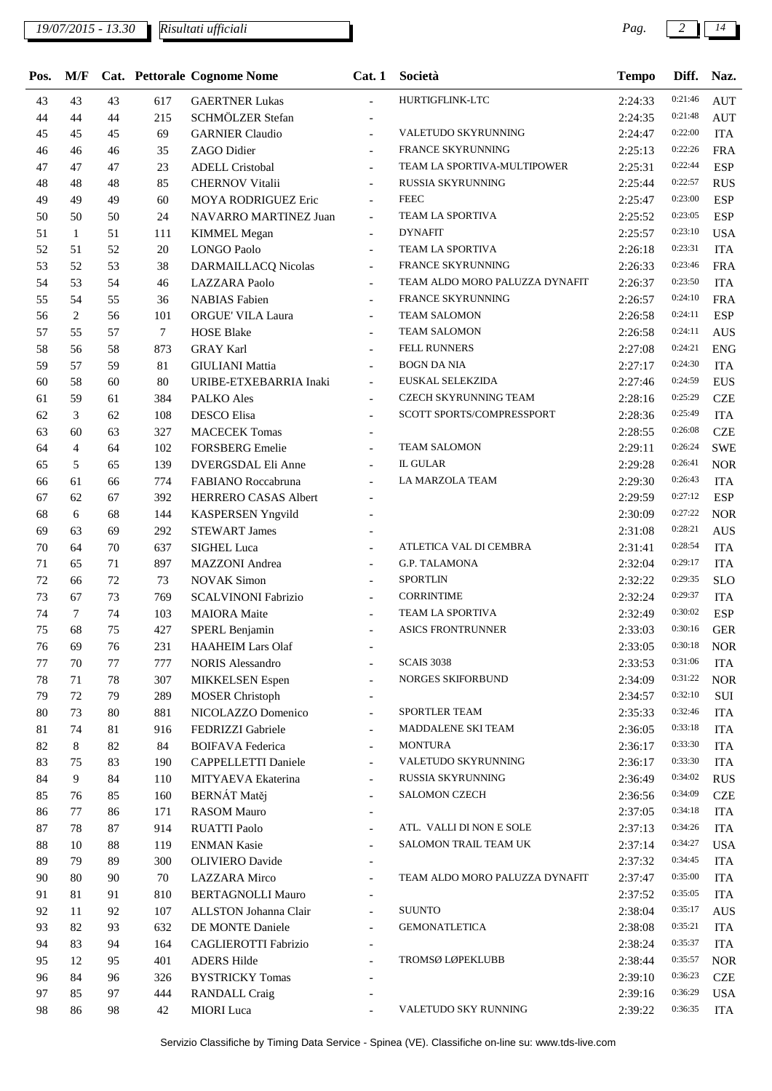| Pos.   | M/F            |    |        | Cat. Pettorale Cognome Nome | Cat.1                                                | Società                        | <b>Tempo</b> | Diff.   | Naz.       |
|--------|----------------|----|--------|-----------------------------|------------------------------------------------------|--------------------------------|--------------|---------|------------|
| 43     | 43             | 43 | 617    | <b>GAERTNER Lukas</b>       | $\overline{\phantom{a}}$                             | HURTIGFLINK-LTC                | 2:24:33      | 0:21:46 | <b>AUT</b> |
| 44     | 44             | 44 | 215    | SCHMÖLZER Stefan            | $\overline{\phantom{a}}$                             |                                | 2:24:35      | 0:21:48 | <b>AUT</b> |
| 45     | 45             | 45 | 69     | <b>GARNIER Claudio</b>      | $\overline{\phantom{a}}$                             | VALETUDO SKYRUNNING            | 2:24:47      | 0:22:00 | <b>ITA</b> |
| 46     | 46             | 46 | 35     | ZAGO Didier                 | $\overline{a}$                                       | <b>FRANCE SKYRUNNING</b>       | 2:25:13      | 0:22:26 | <b>FRA</b> |
| 47     | 47             | 47 | 23     | <b>ADELL Cristobal</b>      | $\overline{\phantom{a}}$                             | TEAM LA SPORTIVA-MULTIPOWER    | 2:25:31      | 0:22:44 | <b>ESP</b> |
| 48     | 48             | 48 | 85     | <b>CHERNOV Vitalii</b>      | $\overline{\phantom{a}}$                             | RUSSIA SKYRUNNING              | 2:25:44      | 0:22:57 | <b>RUS</b> |
| 49     | 49             | 49 | 60     | MOYA RODRIGUEZ Eric         | $\overline{\phantom{a}}$                             | <b>FEEC</b>                    | 2:25:47      | 0:23:00 | <b>ESP</b> |
| 50     | 50             | 50 | 24     | NAVARRO MARTINEZ Juan       | $\blacksquare$                                       | TEAM LA SPORTIVA               | 2:25:52      | 0:23:05 | <b>ESP</b> |
| 51     | $\mathbf{1}$   | 51 | 111    | <b>KIMMEL Megan</b>         | $\overline{\phantom{a}}$                             | <b>DYNAFIT</b>                 | 2:25:57      | 0:23:10 | <b>USA</b> |
| 52     | 51             | 52 | 20     | <b>LONGO Paolo</b>          | $\overline{\phantom{a}}$                             | TEAM LA SPORTIVA               | 2:26:18      | 0:23:31 | <b>ITA</b> |
| 53     | 52             | 53 | 38     | DARMAILLACQ Nicolas         | $\overline{\phantom{a}}$                             | FRANCE SKYRUNNING              | 2:26:33      | 0:23:46 | <b>FRA</b> |
| 54     | 53             | 54 | 46     | LAZZARA Paolo               |                                                      | TEAM ALDO MORO PALUZZA DYNAFIT | 2:26:37      | 0:23:50 | <b>ITA</b> |
| 55     | 54             | 55 | 36     | <b>NABIAS</b> Fabien        | $\overline{\phantom{a}}$                             | FRANCE SKYRUNNING              | 2:26:57      | 0:24:10 | <b>FRA</b> |
| 56     | $\overline{c}$ | 56 | 101    | ORGUE' VILA Laura           | $\overline{\phantom{a}}$                             | <b>TEAM SALOMON</b>            | 2:26:58      | 0:24:11 | <b>ESP</b> |
| 57     | 55             | 57 | $\tau$ | <b>HOSE Blake</b>           | $\overline{\phantom{a}}$                             | <b>TEAM SALOMON</b>            | 2:26:58      | 0:24:11 | <b>AUS</b> |
| 58     | 56             | 58 | 873    | <b>GRAY Karl</b>            | $\overline{a}$                                       | <b>FELL RUNNERS</b>            | 2:27:08      | 0:24:21 | <b>ENG</b> |
| 59     | 57             | 59 | 81     | <b>GIULIANI</b> Mattia      | $\overline{\phantom{a}}$                             | <b>BOGN DA NIA</b>             | 2:27:17      | 0:24:30 | <b>ITA</b> |
| 60     | 58             | 60 | 80     | URIBE-ETXEBARRIA Inaki      | $\overline{\phantom{a}}$                             | EUSKAL SELEKZIDA               | 2:27:46      | 0:24:59 | <b>EUS</b> |
| 61     | 59             | 61 | 384    | <b>PALKO</b> Ales           | $\blacksquare$                                       | <b>CZECH SKYRUNNING TEAM</b>   | 2:28:16      | 0:25:29 | <b>CZE</b> |
| 62     | 3              | 62 | 108    | <b>DESCO</b> Elisa          |                                                      | SCOTT SPORTS/COMPRESSPORT      | 2:28:36      | 0:25:49 | <b>ITA</b> |
| 63     | 60             | 63 | 327    | <b>MACECEK Tomas</b>        | $\overline{\phantom{a}}$                             |                                | 2:28:55      | 0:26:08 | <b>CZE</b> |
| 64     | $\overline{4}$ | 64 | 102    | <b>FORSBERG</b> Emelie      | $\overline{\phantom{a}}$                             | <b>TEAM SALOMON</b>            | 2:29:11      | 0:26:24 | <b>SWE</b> |
| 65     | 5              | 65 | 139    | DVERGSDAL Eli Anne          | $\overline{\phantom{a}}$                             | <b>IL GULAR</b>                | 2:29:28      | 0:26:41 | <b>NOR</b> |
| 66     | 61             | 66 | 774    | FABIANO Roccabruna          | $\blacksquare$                                       | LA MARZOLA TEAM                | 2:29:30      | 0:26:43 | <b>ITA</b> |
| 67     | 62             | 67 | 392    | HERRERO CASAS Albert        | $\overline{\phantom{a}}$                             |                                | 2:29:59      | 0:27:12 | <b>ESP</b> |
| 68     | 6              | 68 | 144    | <b>KASPERSEN Yngvild</b>    |                                                      |                                | 2:30:09      | 0:27:22 | <b>NOR</b> |
| 69     | 63             | 69 | 292    | <b>STEWART James</b>        |                                                      |                                | 2:31:08      | 0:28:21 | <b>AUS</b> |
| 70     | 64             | 70 | 637    | <b>SIGHEL Luca</b>          |                                                      | ATLETICA VAL DI CEMBRA         | 2:31:41      | 0:28:54 | <b>ITA</b> |
| 71     | 65             | 71 | 897    | <b>MAZZONI</b> Andrea       |                                                      | <b>G.P. TALAMONA</b>           | 2:32:04      | 0:29:17 | <b>ITA</b> |
| 72     | 66             | 72 | 73     | <b>NOVAK Simon</b>          | $\overline{\phantom{a}}$<br>$\overline{\phantom{a}}$ | <b>SPORTLIN</b>                | 2:32:22      | 0:29:35 | <b>SLO</b> |
| 73     | 67             | 73 | 769    | <b>SCALVINONI Fabrizio</b>  |                                                      | <b>CORRINTIME</b>              | 2:32:24      | 0:29:37 | <b>ITA</b> |
| 74     | 7              | 74 | 103    | <b>MAIORA</b> Maite         | $\overline{\phantom{a}}$<br>$\overline{\phantom{a}}$ | TEAM LA SPORTIVA               | 2:32:49      | 0:30:02 | <b>ESP</b> |
| 75     | 68             | 75 | 427    | SPERL Benjamin              | $\overline{\phantom{a}}$                             | <b>ASICS FRONTRUNNER</b>       | 2:33:03      | 0:30:16 | <b>GER</b> |
| 76     | 69             | 76 | 231    | <b>HAAHEIM Lars Olaf</b>    |                                                      |                                | 2:33:05      | 0:30:18 | <b>NOR</b> |
| 77     | 70             | 77 | 777    | <b>NORIS Alessandro</b>     | $\overline{\phantom{a}}$<br>$\overline{\phantom{a}}$ | <b>SCAIS 3038</b>              | 2:33:53      | 0:31:06 | <b>ITA</b> |
|        |                |    |        |                             |                                                      | NORGES SKIFORBUND              |              | 0:31:22 |            |
| 78     | 71             | 78 | 307    | <b>MIKKELSEN</b> Espen      |                                                      |                                | 2:34:09      | 0:32:10 | <b>NOR</b> |
| 79     | 72             | 79 | 289    | <b>MOSER</b> Christoph      | $\overline{\phantom{a}}$                             | SPORTLER TEAM                  | 2:34:57      | 0:32:46 | $\rm SUI$  |
| $80\,$ | 73             | 80 | 881    | NICOLAZZO Domenico          | $\overline{\phantom{a}}$                             | MADDALENE SKI TEAM             | 2:35:33      | 0:33:18 | <b>ITA</b> |
| $81\,$ | 74             | 81 | 916    | FEDRIZZI Gabriele           | $\overline{\phantom{a}}$                             | <b>MONTURA</b>                 | 2:36:05      | 0:33:30 | <b>ITA</b> |
| 82     | 8              | 82 | 84     | <b>BOIFAVA Federica</b>     | $\blacksquare$                                       | VALETUDO SKYRUNNING            | 2:36:17      | 0:33:30 | <b>ITA</b> |
| 83     | 75             | 83 | 190    | CAPPELLETTI Daniele         | $\overline{\phantom{a}}$                             |                                | 2:36:17      | 0:34:02 | <b>ITA</b> |
| 84     | 9              | 84 | 110    | MITYAEVA Ekaterina          | $\overline{\phantom{a}}$                             | RUSSIA SKYRUNNING              | 2:36:49      |         | <b>RUS</b> |
| 85     | 76             | 85 | 160    | <b>BERNÁT</b> Matěj         | $\overline{a}$                                       | <b>SALOMON CZECH</b>           | 2:36:56      | 0:34:09 | <b>CZE</b> |
| 86     | 77             | 86 | 171    | <b>RASOM</b> Mauro          | $\overline{\phantom{a}}$                             |                                | 2:37:05      | 0:34:18 | <b>ITA</b> |
| 87     | 78             | 87 | 914    | <b>RUATTI Paolo</b>         | $\overline{a}$                                       | ATL. VALLI DI NON E SOLE       | 2:37:13      | 0:34:26 | <b>ITA</b> |
| 88     | 10             | 88 | 119    | <b>ENMAN Kasie</b>          | $\blacksquare$                                       | SALOMON TRAIL TEAM UK          | 2:37:14      | 0:34:27 | <b>USA</b> |
| 89     | 79             | 89 | 300    | <b>OLIVIERO</b> Davide      | $\overline{\phantom{a}}$                             |                                | 2:37:32      | 0:34:45 | <b>ITA</b> |
| 90     | 80             | 90 | $70\,$ | <b>LAZZARA</b> Mirco        | $\overline{\phantom{a}}$                             | TEAM ALDO MORO PALUZZA DYNAFIT | 2:37:47      | 0:35:00 | <b>ITA</b> |
| 91     | 81             | 91 | 810    | <b>BERTAGNOLLI Mauro</b>    | $\overline{\phantom{a}}$                             |                                | 2:37:52      | 0:35:05 | <b>ITA</b> |
| 92     | 11             | 92 | 107    | ALLSTON Johanna Clair       | $\overline{\phantom{a}}$                             | <b>SUUNTO</b>                  | 2:38:04      | 0:35:17 | <b>AUS</b> |
| 93     | 82             | 93 | 632    | DE MONTE Daniele            | $\overline{a}$                                       | <b>GEMONATLETICA</b>           | 2:38:08      | 0:35:21 | <b>ITA</b> |
| 94     | 83             | 94 | 164    | CAGLIEROTTI Fabrizio        | $\blacksquare$                                       |                                | 2:38:24      | 0:35:37 | <b>ITA</b> |
| 95     | 12             | 95 | 401    | <b>ADERS Hilde</b>          |                                                      | TROMSØ LØPEKLUBB               | 2:38:44      | 0:35:57 | <b>NOR</b> |
| 96     | 84             | 96 | 326    | <b>BYSTRICKY Tomas</b>      | $\overline{\phantom{0}}$                             |                                | 2:39:10      | 0:36:23 | <b>CZE</b> |
| 97     | 85             | 97 | 444    | <b>RANDALL Craig</b>        |                                                      |                                | 2:39:16      | 0:36:29 | <b>USA</b> |
| 98     | 86             | 98 | 42     | <b>MIORI</b> Luca           | $\blacksquare$                                       | VALETUDO SKY RUNNING           | 2:39:22      | 0:36:35 | <b>ITA</b> |

Servizio Classifiche by Timing Data Service - Spinea (VE). Classifiche on-line su: www.tds-live.com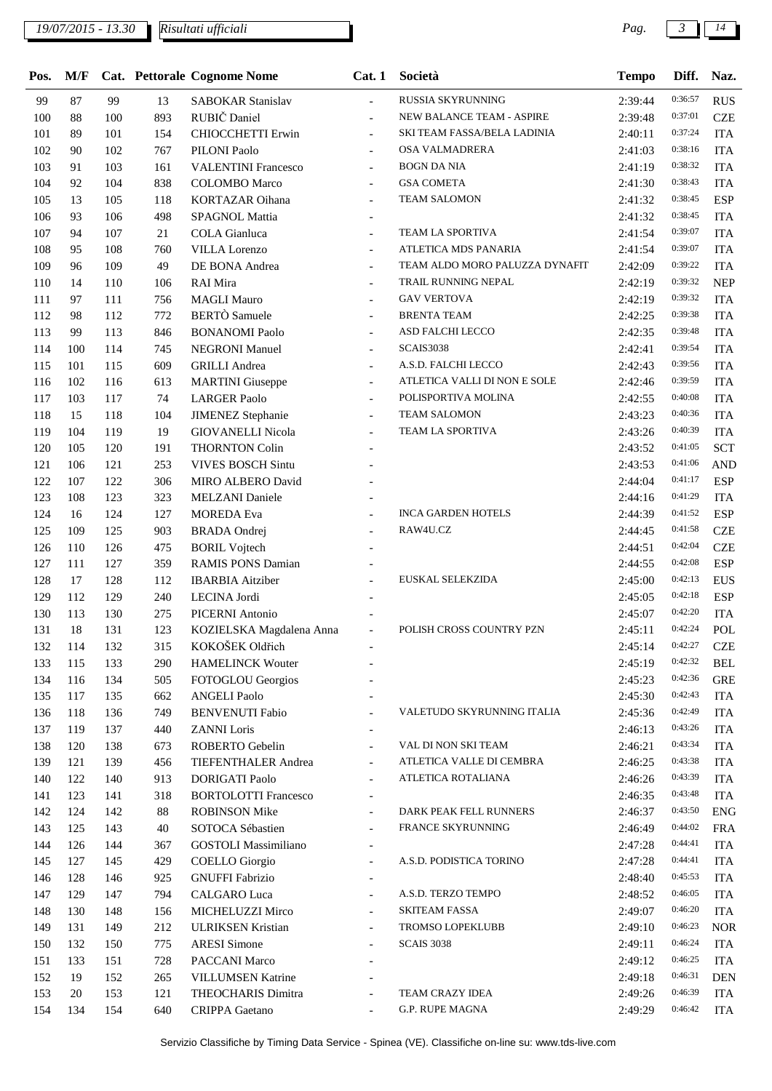| Pos. | M/F |     |     | Cat. Pettorale Cognome Nome | Cat.1                    | Società                        | <b>Tempo</b> | Diff.              | Naz.       |
|------|-----|-----|-----|-----------------------------|--------------------------|--------------------------------|--------------|--------------------|------------|
| 99   | 87  | 99  | 13  | <b>SABOKAR Stanislav</b>    | $\overline{\phantom{a}}$ | RUSSIA SKYRUNNING              | 2:39:44      | 0:36:57            | <b>RUS</b> |
| 100  | 88  | 100 | 893 | RUBIČ Daniel                | $\overline{\phantom{a}}$ | NEW BALANCE TEAM - ASPIRE      | 2:39:48      | 0:37:01            | <b>CZE</b> |
| 101  | 89  | 101 | 154 | <b>CHIOCCHETTI Erwin</b>    | $\overline{\phantom{a}}$ | SKI TEAM FASSA/BELA LADINIA    | 2:40:11      | 0:37:24            | <b>ITA</b> |
| 102  | 90  | 102 | 767 | PILONI Paolo                | $\overline{a}$           | OSA VALMADRERA                 | 2:41:03      | 0:38:16            | <b>ITA</b> |
| 103  | 91  | 103 | 161 | <b>VALENTINI Francesco</b>  | $\overline{\phantom{a}}$ | <b>BOGN DA NIA</b>             | 2:41:19      | 0:38:32            | <b>ITA</b> |
| 104  | 92  | 104 | 838 | <b>COLOMBO</b> Marco        | $\overline{\phantom{a}}$ | <b>GSA COMETA</b>              | 2:41:30      | 0:38:43            | <b>ITA</b> |
| 105  | 13  | 105 | 118 | <b>KORTAZAR Oihana</b>      | $\overline{\phantom{a}}$ | <b>TEAM SALOMON</b>            | 2:41:32      | 0:38:45            | <b>ESP</b> |
| 106  | 93  | 106 | 498 | SPAGNOL Mattia              | $\overline{\phantom{a}}$ |                                | 2:41:32      | 0:38:45            | <b>ITA</b> |
| 107  | 94  | 107 | 21  | <b>COLA</b> Gianluca        | $\blacksquare$           | TEAM LA SPORTIVA               | 2:41:54      | 0:39:07            | <b>ITA</b> |
| 108  | 95  | 108 | 760 | <b>VILLA</b> Lorenzo        | $\blacksquare$           | ATLETICA MDS PANARIA           | 2:41:54      | 0:39:07            | <b>ITA</b> |
| 109  | 96  | 109 | 49  | DE BONA Andrea              | $\overline{a}$           | TEAM ALDO MORO PALUZZA DYNAFIT | 2:42:09      | 0:39:22            | <b>ITA</b> |
| 110  | 14  | 110 | 106 | RAI Mira                    |                          | TRAIL RUNNING NEPAL            | 2:42:19      | 0:39:32            | <b>NEP</b> |
| 111  | 97  | 111 | 756 | <b>MAGLI Mauro</b>          |                          | <b>GAV VERTOVA</b>             | 2:42:19      | 0:39:32            | <b>ITA</b> |
| 112  | 98  | 112 | 772 | <b>BERTÒ</b> Samuele        |                          | <b>BRENTA TEAM</b>             | 2:42:25      | 0:39:38            | <b>ITA</b> |
| 113  | 99  | 113 | 846 | <b>BONANOMI</b> Paolo       | $\overline{\phantom{a}}$ | ASD FALCHI LECCO               | 2:42:35      | 0:39:48            | <b>ITA</b> |
| 114  | 100 | 114 | 745 | <b>NEGRONI Manuel</b>       | $\blacksquare$           | SCAIS3038                      | 2:42:41      | 0:39:54            | <b>ITA</b> |
| 115  | 101 | 115 | 609 | <b>GRILLI</b> Andrea        | $\blacksquare$           | A.S.D. FALCHI LECCO            | 2:42:43      | 0:39:56            | <b>ITA</b> |
| 116  | 102 | 116 | 613 | <b>MARTINI</b> Giuseppe     | $\overline{\phantom{a}}$ | ATLETICA VALLI DI NON E SOLE   | 2:42:46      | 0:39:59            | <b>ITA</b> |
| 117  | 103 | 117 | 74  | <b>LARGER Paolo</b>         | $\overline{a}$           | POLISPORTIVA MOLINA            | 2:42:55      | 0:40:08            | <b>ITA</b> |
| 118  | 15  | 118 | 104 | <b>JIMENEZ</b> Stephanie    |                          | <b>TEAM SALOMON</b>            | 2:43:23      | 0:40:36            | <b>ITA</b> |
| 119  | 104 | 119 | 19  | <b>GIOVANELLI Nicola</b>    | $\overline{\phantom{a}}$ | TEAM LA SPORTIVA               | 2:43:26      | 0:40:39            | <b>ITA</b> |
| 120  | 105 | 120 | 191 | <b>THORNTON Colin</b>       |                          |                                | 2:43:52      | 0:41:05            | SCT        |
| 121  | 106 | 121 | 253 | <b>VIVES BOSCH Sintu</b>    |                          |                                | 2:43:53      | 0:41:06            | <b>AND</b> |
| 122  | 107 | 122 | 306 | MIRO ALBERO David           |                          |                                | 2:44:04      | 0:41:17            | <b>ESP</b> |
| 123  | 108 | 123 | 323 | <b>MELZANI</b> Daniele      |                          |                                | 2:44:16      | 0:41:29            | <b>ITA</b> |
| 124  | 16  | 124 | 127 | <b>MOREDA</b> Eva           |                          | <b>INCA GARDEN HOTELS</b>      | 2:44:39      | 0:41:52            | <b>ESP</b> |
| 125  | 109 | 125 | 903 | <b>BRADA</b> Ondrej         |                          | RAW4U.CZ                       | 2:44:45      | 0:41:58            | <b>CZE</b> |
| 126  | 110 | 126 | 475 | <b>BORIL Vojtech</b>        |                          |                                | 2:44:51      | 0:42:04            | <b>CZE</b> |
| 127  | 111 | 127 | 359 | <b>RAMIS PONS Damian</b>    |                          |                                | 2:44:55      | 0:42:08            | <b>ESP</b> |
| 128  | 17  | 128 | 112 | <b>IBARBIA</b> Aitziber     | $\overline{\phantom{a}}$ | EUSKAL SELEKZIDA               | 2:45:00      | 0:42:13            | <b>EUS</b> |
| 129  | 112 | 129 | 240 | <b>LECINA</b> Jordi         |                          |                                | 2:45:05      | 0:42:18            | <b>ESP</b> |
| 130  | 113 | 130 | 275 | PICERNI Antonio             |                          |                                | 2:45:07      | 0:42:20            | <b>ITA</b> |
| 131  | 18  | 131 | 123 | KOZIELSKA Magdalena Anna    | $\overline{\phantom{m}}$ | POLISH CROSS COUNTRY PZN       | 2:45:11      | 0:42:24            | POL        |
| 132  | 114 | 132 | 315 | KOKOŠEK Oldřich             | $\overline{\phantom{a}}$ |                                | 2:45:14      | 0:42:27            | <b>CZE</b> |
| 133  | 115 | 133 | 290 | <b>HAMELINCK Wouter</b>     |                          |                                | 2:45:19      | 0:42:32            | <b>BEL</b> |
| 134  | 116 | 134 | 505 | FOTOGLOU Georgios           |                          |                                | 2:45:23      | 0:42:36            | <b>GRE</b> |
| 135  | 117 | 135 | 662 | <b>ANGELI Paolo</b>         |                          |                                | 2:45:30      | 0:42:43            | <b>ITA</b> |
| 136  | 118 | 136 | 749 | <b>BENVENUTI Fabio</b>      |                          | VALETUDO SKYRUNNING ITALIA     | 2:45:36      | 0:42:49            | <b>ITA</b> |
| 137  | 119 | 137 | 440 | <b>ZANNI</b> Loris          |                          |                                | 2:46:13      | 0:43:26            | <b>ITA</b> |
| 138  | 120 | 138 | 673 | ROBERTO Gebelin             | $\overline{\phantom{a}}$ | VAL DI NON SKI TEAM            | 2:46:21      | 0:43:34            | <b>ITA</b> |
| 139  | 121 | 139 | 456 | TIEFENTHALER Andrea         | $\blacksquare$           | ATLETICA VALLE DI CEMBRA       | 2:46:25      | 0:43:38            | <b>ITA</b> |
| 140  | 122 | 140 | 913 | <b>DORIGATI Paolo</b>       |                          | ATLETICA ROTALIANA             | 2:46:26      | 0:43:39            | <b>ITA</b> |
| 141  | 123 | 141 | 318 | <b>BORTOLOTTI Francesco</b> |                          |                                | 2:46:35      | 0:43:48            | <b>ITA</b> |
| 142  | 124 | 142 | 88  | <b>ROBINSON Mike</b>        |                          | DARK PEAK FELL RUNNERS         | 2:46:37      | 0:43:50            | <b>ENG</b> |
| 143  | 125 | 143 | 40  | SOTOCA Sébastien            | $\overline{\phantom{a}}$ | FRANCE SKYRUNNING              | 2:46:49      | 0:44:02            | <b>FRA</b> |
| 144  | 126 | 144 | 367 | <b>GOSTOLI</b> Massimiliano | $\overline{\phantom{a}}$ |                                | 2:47:28      | 0:44:41            | <b>ITA</b> |
| 145  | 127 | 145 | 429 | COELLO Giorgio              | $\overline{a}$           | A.S.D. PODISTICA TORINO        | 2:47:28      | 0:44:41            | <b>ITA</b> |
| 146  | 128 | 146 | 925 | <b>GNUFFI Fabrizio</b>      | $\overline{\phantom{a}}$ |                                | 2:48:40      | 0:45:53            | <b>ITA</b> |
| 147  | 129 | 147 | 794 | CALGARO Luca                | $\overline{\phantom{a}}$ | A.S.D. TERZO TEMPO             | 2:48:52      | 0:46:05            | <b>ITA</b> |
| 148  | 130 | 148 | 156 | MICHELUZZI Mirco            | $\overline{a}$           | <b>SKITEAM FASSA</b>           | 2:49:07      | 0:46:20            | <b>ITA</b> |
| 149  | 131 | 149 | 212 | <b>ULRIKSEN Kristian</b>    |                          | <b>TROMSO LOPEKLUBB</b>        | 2:49:10      | 0:46:23            | <b>NOR</b> |
| 150  | 132 | 150 | 775 | <b>ARESI</b> Simone         |                          | <b>SCAIS 3038</b>              | 2:49:11      | 0:46:24            | <b>ITA</b> |
| 151  | 133 | 151 | 728 | PACCANI Marco               |                          |                                | 2:49:12      | 0:46:25            | <b>ITA</b> |
| 152  | 19  | 152 | 265 | VILLUMSEN Katrine           |                          |                                | 2:49:18      | 0:46:31<br>0:46:39 | <b>DEN</b> |
| 153  | 20  | 153 | 121 | THEOCHARIS Dimitra          |                          | TEAM CRAZY IDEA                | 2:49:26      | 0:46:42            | <b>ITA</b> |
| 154  | 134 | 154 | 640 | <b>CRIPPA</b> Gaetano       | $\overline{\phantom{a}}$ | G.P. RUPE MAGNA                | 2:49:29      |                    | <b>ITA</b> |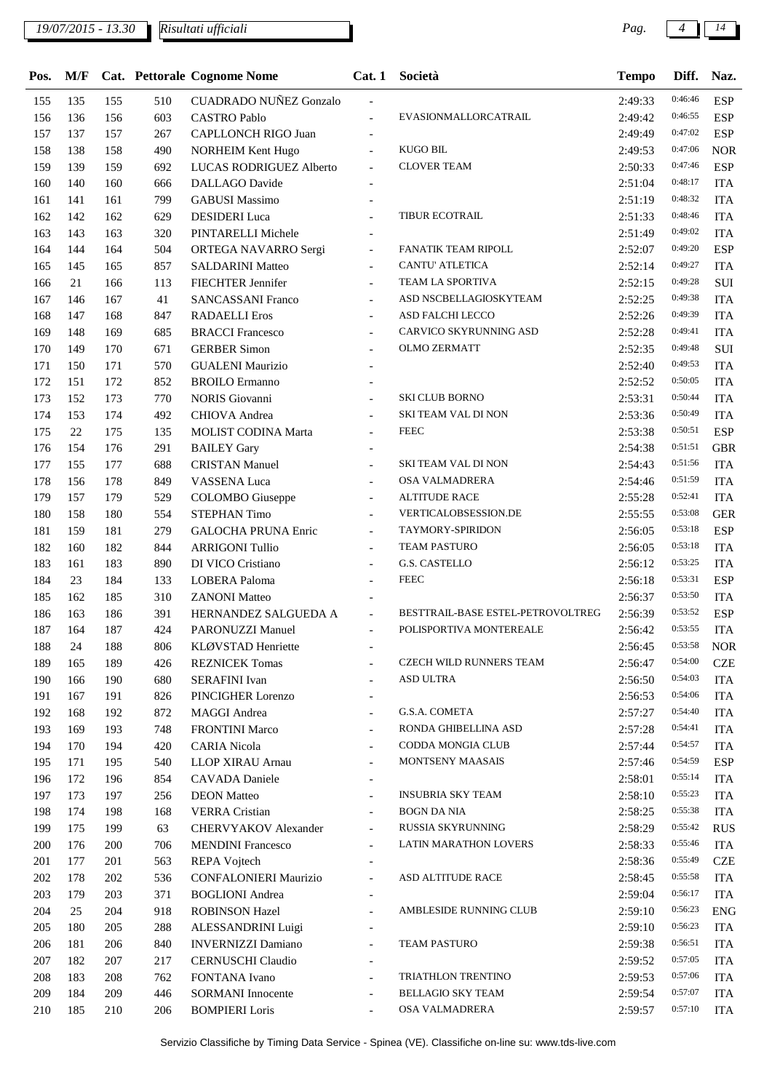*Risultati ufficiali*

 138 158 490 NORHEIM Kent Hugo - KUGO BIL 2:49:53 0:47:06 NOR 139 159 692 LUCAS RODRIGUEZ Alberto - CLOVER TEAM 2:50:33 0:47:46 ESP 140 160 666 DALLAGO Davide - 2:51:04 0:48:17 ITA 141 161 799 GABUSI Massimo - 2:51:19 0:48:32 ITA 162 142 162 629 DESIDERI Luca - TIBUR ECOTRAIL 2:51:33 0:48:46 ITA 143 163 320 PINTARELLI Michele - 2:51:49 0:49:02 ITA 144 164 504 ORTEGA NAVARRO Sergi - FANATIK TEAM RIPOLL 2:52:07 0:49:20 ESP 145 165 857 SALDARINI Matteo - CANTU' ATLETICA 2:52:14 0:49:27 ITA 166 21 166 113 FIECHTER Jennifer - TEAM LA SPORTIVA 2:52:15 0:49:28 SUI 146 167 41 SANCASSANI Franco - ASD NSCBELLAGIOSKYTEAM 2:52:25 0:49:38 ITA 168 147 168 847 RADAELLI Eros - ASD FALCHI LECCO 2:52:26 0:49:39 ITA 169 148 169 685 BRACCI Francesco - CARVICO SKYRUNNING ASD 2:52:28 <sup>0:49:41</sup> ITA 170 149 170 671 GERBER Simon - OLMO ZERMATT 2:52:35 0:49:48 SUI 150 171 570 GUALENI Maurizio - 2:52:40 0:49:53 ITA 151 172 852 BROILO Ermanno - 2:52:52 0:50:05 ITA 173 152 173 770 NORIS Giovanni - SKI CLUB BORNO 2:53:31 0:50:44 ITA 174 153 174 492 CHIOVA Andrea - SKI TEAM VAL DI NON 2:53:36 0:50:49 ITA 175 22 175 135 MOLIST CODINA Marta - FEEC 2:53:38 0:50:51 ESP 154 176 291 BAILEY Gary - 2:54:38 0:51:51 GBR 177 155 177 688 CRISTAN Manuel - SKI TEAM VAL DI NON 2:54:43 0:51:56 ITA 156 178 849 VASSENA Luca - OSA VALMADRERA 2:54:46 0:51:59 ITA 157 179 529 COLOMBO Giuseppe - ALTITUDE RACE 2:55:28 0:52:41 ITA 158 180 554 STEPHAN Timo - VERTICALOBSESSION.DE 2:55:55 0:53:08 GER 159 181 279 GALOCHA PRUNA Enric - TAYMORY-SPIRIDON 2:56:05 0:53:18 ESP 160 182 844 ARRIGONI Tullio - TEAM PASTURO 2:56:05 0:53:18 ITA 161 183 890 DI VICO Cristiano - G.S. CASTELLO 2:56:12 0:53:25 ITA 184 23 184 133 LOBERA Paloma - FEEC 2:56:18 0:53:31 ESP 162 185 310 ZANONI Matteo - 2:56:37 0:53:50 ITA 163 186 391 HERNANDEZ SALGUEDA A - BESTTRAIL-BASE ESTEL-PETROVOLTREG 2:56:39 0:53:52 ESP 187 164 187 424 PARONUZZI Manuel - POLISPORTIVA MONTEREALE 2:56:42 0:53:55 ITA 24 188 806 KLØVSTAD Henriette - 2:56:45 0:53:58 NOR 189 165 189 426 REZNICEK Tomas - CZECH WILD RUNNERS TEAM 2:56:47 0:54:00 CZE 190 166 190 680 SERAFINI Ivan - ASD ULTRA 2:56:50 0:54:03 ITA 167 191 826 PINCIGHER Lorenzo - 2:56:53 0:54:06 ITA 192 168 192 872 MAGGI Andrea - G.S.A. COMETA 2:57:27 0:54:40 ITA 193 169 193 748 FRONTINI Marco - RONDA GHIBELLINA ASD 2:57:28 <sup>0:54:41</sup> ITA 170 194 420 CARIA Nicola - CODDA MONGIA CLUB 2:57:44 0:54:57 ITA 171 195 540 LLOP XIRAU Arnau - MONTSENY MAASAIS 2:57:46 0:54:59 ESP 172 196 854 CAVADA Daniele - 2:58:01 0:55:14 ITA 173 197 256 DEON Matteo - INSUBRIA SKY TEAM 2:58:10 0:55:23 ITA 198 174 198 168 VERRA Cristian - BOGN DA NIA 2:58:25 0:55:38 ITA 175 199 63 CHERVYAKOV Alexander - RUSSIA SKYRUNNING 2:58:29 0:55:42 RUS 200 176 200 706 MENDINI Francesco - LATIN MARATHON LOVERS 2:58:33 0:55:46 ITA 177 201 563 REPA Vojtech - 2:58:36 0:55:49 CZE 178 202 536 CONFALONIERI Maurizio - ASD ALTITUDE RACE 2:58:45 0:55:58 ITA 179 203 371 BOGLIONI Andrea - 2:59:04 0:56:17 ITA 204 25 204 918 ROBINSON Hazel - AMBLESIDE RUNNING CLUB 2:59:10 0:56:23 ENG 180 205 288 ALESSANDRINI Luigi - 2:59:10 0:56:23 ITA 181 206 840 INVERNIZZI Damiano - TEAM PASTURO 2:59:38 0:56:51 ITA 182 207 217 CERNUSCHI Claudio - 2:59:52 0:57:05 ITA 183 208 762 FONTANA Ivano - TRIATHLON TRENTINO 2:59:53 0:57:06 ITA 209 184 209 446 SORMANI Innocente - BELLAGIO SKY TEAM 2:59:54 0:57:07 ITA 185 210 206 BOMPIERI Loris - OSA VALMADRERA 2:59:57 0:57:10 ITA

**Pos. M/F Pettorale Cognome Nome Cat. 1 Società Tempo Naz. Cat. Diff.**

 135 155 510 CUADRADO NUÑEZ Gonzalo - 2:49:33 0:46:46 ESP 136 156 603 CASTRO Pablo - EVASIONMALLORCATRAIL 2:49:42 0:46:55 ESP 137 157 267 CAPLLONCH RIGO Juan - 2:49:49 0:47:02 ESP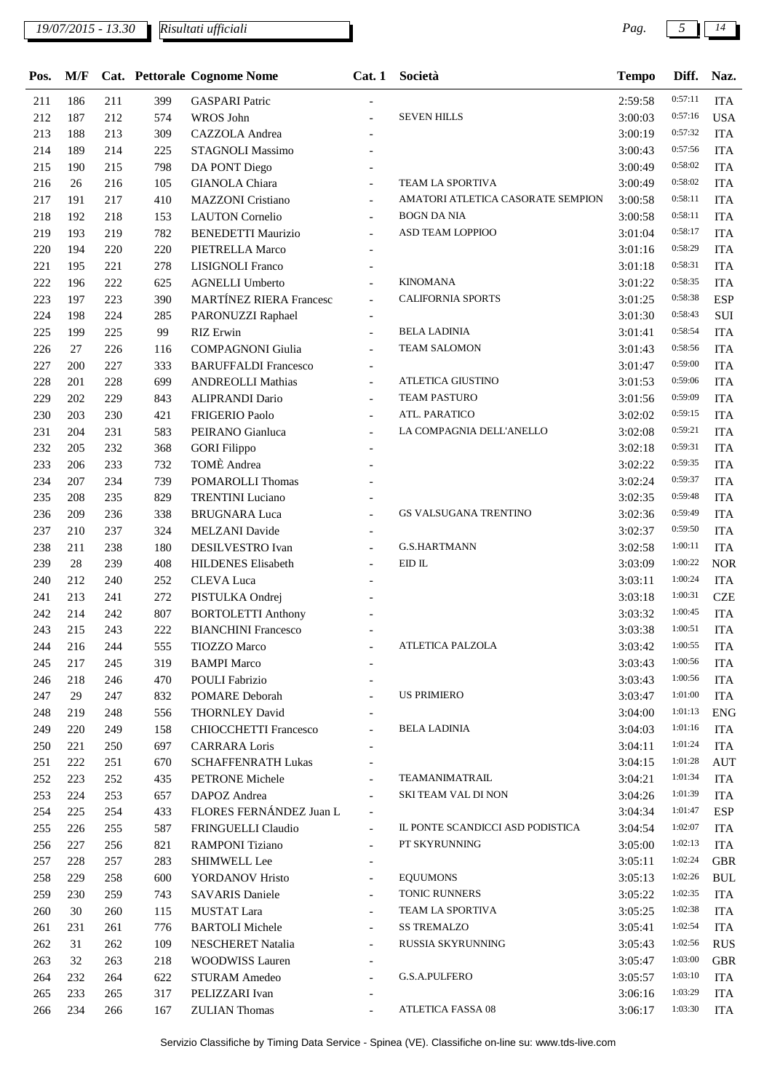| Pos. | M/F |     |     | <b>Cat.</b> Pettorale Cognome Nome | Cat.1                    | Società                               | <b>Tempo</b> | Diff.   | Naz.       |
|------|-----|-----|-----|------------------------------------|--------------------------|---------------------------------------|--------------|---------|------------|
| 211  | 186 | 211 | 399 | <b>GASPARI</b> Patric              |                          |                                       | 2:59:58      | 0:57:11 | <b>ITA</b> |
| 212  | 187 | 212 | 574 | WROS John                          |                          | <b>SEVEN HILLS</b>                    | 3:00:03      | 0:57:16 | <b>USA</b> |
| 213  | 188 | 213 | 309 | CAZZOLA Andrea                     |                          |                                       | 3:00:19      | 0:57:32 | <b>ITA</b> |
| 214  | 189 | 214 | 225 | STAGNOLI Massimo                   |                          |                                       | 3:00:43      | 0:57:56 | <b>ITA</b> |
| 215  | 190 | 215 | 798 | DA PONT Diego                      |                          |                                       | 3:00:49      | 0:58:02 | <b>ITA</b> |
| 216  | 26  | 216 | 105 | <b>GIANOLA</b> Chiara              |                          | TEAM LA SPORTIVA                      | 3:00:49      | 0:58:02 | <b>ITA</b> |
| 217  | 191 | 217 | 410 | <b>MAZZONI</b> Cristiano           | $\overline{\phantom{a}}$ | AMATORI ATLETICA CASORATE SEMPION     | 3:00:58      | 0:58:11 | <b>ITA</b> |
| 218  | 192 | 218 | 153 | <b>LAUTON</b> Cornelio             | $\blacksquare$           | <b>BOGN DA NIA</b>                    | 3:00:58      | 0:58:11 | <b>ITA</b> |
| 219  | 193 | 219 | 782 | <b>BENEDETTI Maurizio</b>          | $\overline{\phantom{a}}$ | ASD TEAM LOPPIOO                      | 3:01:04      | 0:58:17 | <b>ITA</b> |
| 220  | 194 | 220 | 220 | PIETRELLA Marco                    |                          |                                       | 3:01:16      | 0:58:29 | <b>ITA</b> |
| 221  | 195 | 221 | 278 | LISIGNOLI Franco                   | $\overline{\phantom{a}}$ |                                       | 3:01:18      | 0:58:31 | <b>ITA</b> |
| 222  | 196 | 222 | 625 | <b>AGNELLI Umberto</b>             |                          | <b>KINOMANA</b>                       | 3:01:22      | 0:58:35 | <b>ITA</b> |
| 223  | 197 | 223 | 390 | <b>MARTÍNEZ RIERA Francesc</b>     |                          | <b>CALIFORNIA SPORTS</b>              | 3:01:25      | 0:58:38 | <b>ESP</b> |
| 224  | 198 | 224 | 285 | PARONUZZI Raphael                  |                          |                                       | 3:01:30      | 0:58:43 | $\rm SUI$  |
| 225  | 199 | 225 | 99  | <b>RIZ</b> Erwin                   |                          | <b>BELA LADINIA</b>                   | 3:01:41      | 0:58:54 | <b>ITA</b> |
| 226  | 27  | 226 | 116 | <b>COMPAGNONI</b> Giulia           |                          | <b>TEAM SALOMON</b>                   | 3:01:43      | 0:58:56 | <b>ITA</b> |
| 227  | 200 | 227 | 333 | <b>BARUFFALDI Francesco</b>        | $\blacksquare$           |                                       | 3:01:47      | 0:59:00 | <b>ITA</b> |
| 228  | 201 | 228 | 699 | <b>ANDREOLLI Mathias</b>           | $\overline{\phantom{a}}$ | <b>ATLETICA GIUSTINO</b>              | 3:01:53      | 0:59:06 | <b>ITA</b> |
| 229  | 202 | 229 | 843 | <b>ALIPRANDI Dario</b>             |                          | <b>TEAM PASTURO</b>                   | 3:01:56      | 0:59:09 | <b>ITA</b> |
| 230  | 203 | 230 | 421 | <b>FRIGERIO Paolo</b>              |                          | ATL. PARATICO                         | 3:02:02      | 0:59:15 | <b>ITA</b> |
| 231  | 204 | 231 | 583 | PEIRANO Gianluca                   |                          | LA COMPAGNIA DELL'ANELLO              | 3:02:08      | 0:59:21 | <b>ITA</b> |
| 232  | 205 | 232 | 368 | <b>GORI Filippo</b>                |                          |                                       | 3:02:18      | 0:59:31 | <b>ITA</b> |
| 233  | 206 | 233 | 732 | TOMÈ Andrea                        |                          |                                       | 3:02:22      | 0:59:35 | <b>ITA</b> |
| 234  | 207 | 234 | 739 | POMAROLLI Thomas                   |                          |                                       | 3:02:24      | 0:59:37 | <b>ITA</b> |
| 235  | 208 | 235 | 829 | <b>TRENTINI</b> Luciano            |                          |                                       | 3:02:35      | 0:59:48 | <b>ITA</b> |
| 236  | 209 | 236 | 338 | <b>BRUGNARA Luca</b>               | $\overline{a}$           | GS VALSUGANA TRENTINO                 | 3:02:36      | 0:59:49 | <b>ITA</b> |
| 237  | 210 | 237 | 324 | <b>MELZANI</b> Davide              |                          |                                       | 3:02:37      | 0:59:50 | <b>ITA</b> |
| 238  | 211 | 238 | 180 | DESILVESTRO Ivan                   |                          | <b>G.S.HARTMANN</b>                   | 3:02:58      | 1:00:11 | <b>ITA</b> |
| 239  | 28  | 239 | 408 | <b>HILDENES Elisabeth</b>          |                          | $\mathop{\hbox{\rm EID}}\nolimits$ IL | 3:03:09      | 1:00:22 | <b>NOR</b> |
| 240  | 212 | 240 | 252 | <b>CLEVA</b> Luca                  |                          |                                       | 3:03:11      | 1:00:24 | <b>ITA</b> |
| 241  | 213 | 241 | 272 | PISTULKA Ondrej                    |                          |                                       | 3:03:18      | 1:00:31 | <b>CZE</b> |
| 242  | 214 | 242 | 807 | <b>BORTOLETTI Anthony</b>          |                          |                                       | 3:03:32      | 1:00:45 | <b>ITA</b> |
| 243  | 215 | 243 | 222 | <b>BIANCHINI Francesco</b>         |                          |                                       | 3:03:38      | 1:00:51 | <b>ITA</b> |
| 244  | 216 | 244 | 555 | <b>TIOZZO Marco</b>                |                          | <b>ATLETICA PALZOLA</b>               | 3:03:42      | 1:00:55 | <b>ITA</b> |
| 245  | 217 | 245 | 319 | <b>BAMPI Marco</b>                 |                          |                                       | 3:03:43      | 1:00:56 | <b>ITA</b> |
| 246  | 218 | 246 | 470 | <b>POULI Fabrizio</b>              |                          |                                       | 3:03:43      | 1:00:56 | <b>ITA</b> |
| 247  | 29  | 247 | 832 | POMARE Deborah                     |                          | <b>US PRIMIERO</b>                    | 3:03:47      | 1:01:00 | <b>ITA</b> |
| 248  | 219 | 248 | 556 | THORNLEY David                     |                          |                                       | 3:04:00      | 1:01:13 | <b>ENG</b> |
| 249  | 220 | 249 | 158 | <b>CHIOCCHETTI Francesco</b>       | $\overline{a}$           | <b>BELA LADINIA</b>                   | 3:04:03      | 1:01:16 | <b>ITA</b> |
| 250  | 221 | 250 | 697 | <b>CARRARA</b> Loris               |                          |                                       | 3:04:11      | 1:01:24 | <b>ITA</b> |
| 251  | 222 | 251 | 670 | <b>SCHAFFENRATH Lukas</b>          | $\blacksquare$           |                                       | 3:04:15      | 1:01:28 | <b>AUT</b> |
| 252  | 223 | 252 | 435 | PETRONE Michele                    | $\overline{a}$           | TEAMANIMATRAIL                        | 3:04:21      | 1:01:34 | <b>ITA</b> |
| 253  | 224 | 253 | 657 | DAPOZ Andrea                       |                          | <b>SKI TEAM VAL DI NON</b>            | 3:04:26      | 1:01:39 | <b>ITA</b> |
| 254  | 225 | 254 | 433 | FLORES FERNÁNDEZ Juan L            | $\overline{\phantom{a}}$ |                                       | 3:04:34      | 1:01:47 | <b>ESP</b> |
| 255  | 226 | 255 | 587 | FRINGUELLI Claudio                 | $\overline{\phantom{a}}$ | IL PONTE SCANDICCI ASD PODISTICA      | 3:04:54      | 1:02:07 | <b>ITA</b> |
| 256  | 227 | 256 | 821 | <b>RAMPONI</b> Tiziano             | $\overline{\phantom{a}}$ | PT SKYRUNNING                         | 3:05:00      | 1:02:13 | <b>ITA</b> |
| 257  | 228 | 257 | 283 | <b>SHIMWELL Lee</b>                | $\blacksquare$           |                                       | 3:05:11      | 1:02:24 | <b>GBR</b> |
| 258  | 229 | 258 | 600 | YORDANOV Hristo                    | $\overline{\phantom{a}}$ | <b>EQUUMONS</b>                       | 3:05:13      | 1:02:26 | <b>BUL</b> |
| 259  | 230 | 259 | 743 | <b>SAVARIS Daniele</b>             | $\overline{\phantom{a}}$ | TONIC RUNNERS                         | 3:05:22      | 1:02:35 | <b>ITA</b> |
| 260  | 30  | 260 | 115 | MUSTAT Lara                        | $\overline{a}$           | TEAM LA SPORTIVA                      | 3:05:25      | 1:02:38 | <b>ITA</b> |
| 261  | 231 | 261 | 776 | <b>BARTOLI</b> Michele             |                          | <b>SS TREMALZO</b>                    | 3:05:41      | 1:02:54 | <b>ITA</b> |
| 262  | 31  | 262 | 109 | NESCHERET Natalia                  | $\blacksquare$           | RUSSIA SKYRUNNING                     | 3:05:43      | 1:02:56 | <b>RUS</b> |
| 263  | 32  | 263 | 218 | <b>WOODWISS Lauren</b>             |                          |                                       | 3:05:47      | 1:03:00 | <b>GBR</b> |
| 264  | 232 | 264 | 622 | <b>STURAM Amedeo</b>               | $\overline{a}$           | G.S.A.PULFERO                         | 3:05:57      | 1:03:10 | <b>ITA</b> |
| 265  | 233 | 265 | 317 | PELIZZARI Ivan                     |                          |                                       | 3:06:16      | 1:03:29 | <b>ITA</b> |
| 266  | 234 | 266 | 167 | <b>ZULIAN</b> Thomas               |                          | ATLETICA FASSA 08                     | 3:06:17      | 1:03:30 | <b>ITA</b> |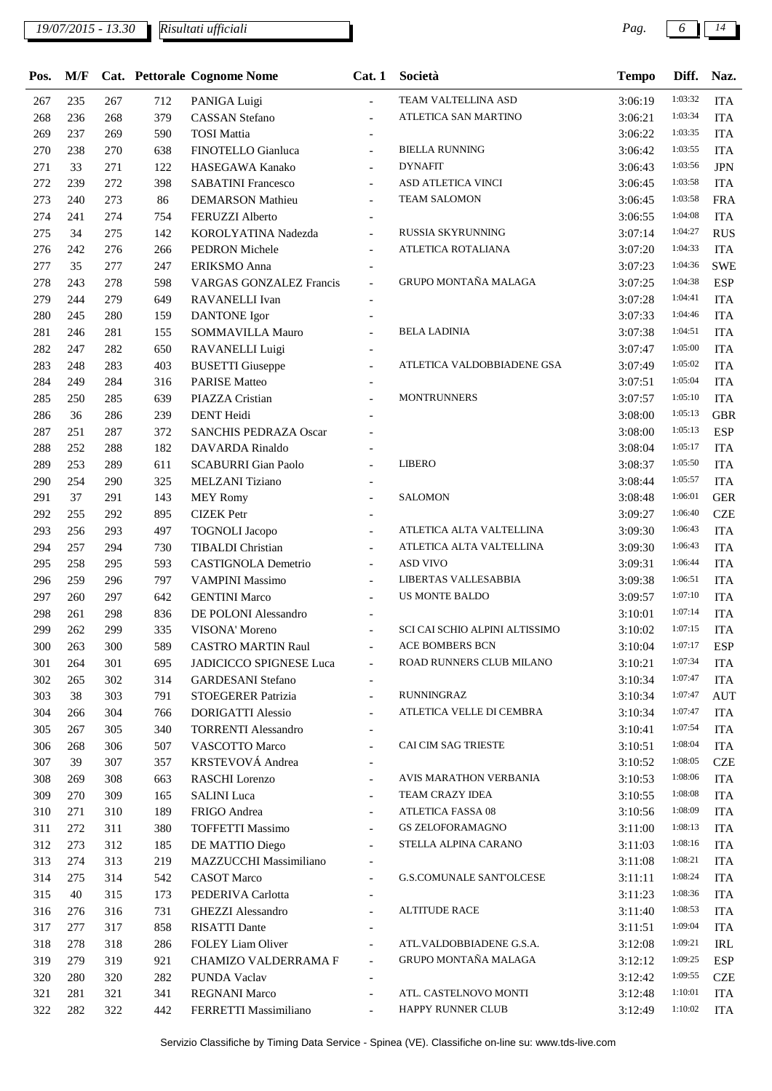| Pos. | M/F |     |     | Cat. Pettorale Cognome Nome  | Cat.1                    | Società                         | <b>Tempo</b> | Diff.   | Naz.       |
|------|-----|-----|-----|------------------------------|--------------------------|---------------------------------|--------------|---------|------------|
| 267  | 235 | 267 | 712 | PANIGA Luigi                 | $\overline{\phantom{a}}$ | TEAM VALTELLINA ASD             | 3:06:19      | 1:03:32 | <b>ITA</b> |
| 268  | 236 | 268 | 379 | <b>CASSAN</b> Stefano        |                          | ATLETICA SAN MARTINO            | 3:06:21      | 1:03:34 | <b>ITA</b> |
| 269  | 237 | 269 | 590 | <b>TOSI</b> Mattia           |                          |                                 | 3:06:22      | 1:03:35 | <b>ITA</b> |
| 270  | 238 | 270 | 638 | FINOTELLO Gianluca           | $\overline{\phantom{a}}$ | <b>BIELLA RUNNING</b>           | 3:06:42      | 1:03:55 | <b>ITA</b> |
| 271  | 33  | 271 | 122 | HASEGAWA Kanako              | $\overline{\phantom{a}}$ | <b>DYNAFIT</b>                  | 3:06:43      | 1:03:56 | <b>JPN</b> |
| 272  | 239 | 272 | 398 | <b>SABATINI Francesco</b>    |                          | ASD ATLETICA VINCI              | 3:06:45      | 1:03:58 | <b>ITA</b> |
| 273  | 240 | 273 | 86  | <b>DEMARSON Mathieu</b>      | $\overline{a}$           | <b>TEAM SALOMON</b>             | 3:06:45      | 1:03:58 | <b>FRA</b> |
| 274  | 241 | 274 | 754 | FERUZZI Alberto              |                          |                                 | 3:06:55      | 1:04:08 | <b>ITA</b> |
| 275  | 34  | 275 | 142 | KOROLYATINA Nadezda          | $\overline{a}$           | RUSSIA SKYRUNNING               | 3:07:14      | 1:04:27 | <b>RUS</b> |
| 276  | 242 | 276 | 266 | PEDRON Michele               | $\overline{\phantom{a}}$ | ATLETICA ROTALIANA              | 3:07:20      | 1:04:33 | <b>ITA</b> |
| 277  | 35  | 277 | 247 | ERIKSMO Anna                 |                          |                                 | 3:07:23      | 1:04:36 | <b>SWE</b> |
| 278  | 243 | 278 | 598 | VARGAS GONZALEZ Francis      | $\blacksquare$           | GRUPO MONTAÑA MALAGA            | 3:07:25      | 1:04:38 | <b>ESP</b> |
| 279  | 244 | 279 | 649 | RAVANELLI Ivan               |                          |                                 | 3:07:28      | 1:04:41 | <b>ITA</b> |
| 280  | 245 | 280 | 159 | <b>DANTONE</b> Igor          | $\overline{a}$           |                                 | 3:07:33      | 1:04:46 | <b>ITA</b> |
| 281  | 246 | 281 | 155 | SOMMAVILLA Mauro             |                          | <b>BELA LADINIA</b>             | 3:07:38      | 1:04:51 | <b>ITA</b> |
| 282  | 247 | 282 | 650 | RAVANELLI Luigi              |                          |                                 | 3:07:47      | 1:05:00 | <b>ITA</b> |
| 283  | 248 | 283 | 403 | <b>BUSETTI</b> Giuseppe      |                          | ATLETICA VALDOBBIADENE GSA      | 3:07:49      | 1:05:02 | <b>ITA</b> |
| 284  | 249 | 284 | 316 | <b>PARISE Matteo</b>         |                          |                                 | 3:07:51      | 1:05:04 | <b>ITA</b> |
| 285  | 250 | 285 | 639 | PIAZZA Cristian              |                          | <b>MONTRUNNERS</b>              | 3:07:57      | 1:05:10 | <b>ITA</b> |
| 286  | 36  | 286 | 239 | <b>DENT</b> Heidi            |                          |                                 | 3:08:00      | 1:05:13 | <b>GBR</b> |
| 287  | 251 | 287 | 372 | <b>SANCHIS PEDRAZA Oscar</b> |                          |                                 | 3:08:00      | 1:05:13 | <b>ESP</b> |
| 288  | 252 | 288 | 182 | <b>DAVARDA</b> Rinaldo       |                          |                                 | 3:08:04      | 1:05:17 | <b>ITA</b> |
| 289  | 253 | 289 | 611 | <b>SCABURRI</b> Gian Paolo   |                          | <b>LIBERO</b>                   | 3:08:37      | 1:05:50 | <b>ITA</b> |
| 290  | 254 | 290 | 325 | MELZANI Tiziano              |                          |                                 | 3:08:44      | 1:05:57 | <b>ITA</b> |
| 291  | 37  | 291 | 143 | <b>MEY Romy</b>              |                          | <b>SALOMON</b>                  | 3:08:48      | 1:06:01 | <b>GER</b> |
| 292  | 255 | 292 | 895 | <b>CIZEK</b> Petr            |                          |                                 | 3:09:27      | 1:06:40 | <b>CZE</b> |
| 293  | 256 | 293 | 497 | <b>TOGNOLI</b> Jacopo        |                          | ATLETICA ALTA VALTELLINA        | 3:09:30      | 1:06:43 | <b>ITA</b> |
| 294  | 257 | 294 | 730 | <b>TIBALDI</b> Christian     | $\blacksquare$           | ATLETICA ALTA VALTELLINA        | 3:09:30      | 1:06:43 | <b>ITA</b> |
| 295  | 258 | 295 | 593 | CASTIGNOLA Demetrio          | $\overline{\phantom{a}}$ | <b>ASD VIVO</b>                 | 3:09:31      | 1:06:44 | <b>ITA</b> |
| 296  | 259 | 296 | 797 | <b>VAMPINI Massimo</b>       | $\overline{a}$           | LIBERTAS VALLESABBIA            | 3:09:38      | 1:06:51 | <b>ITA</b> |
| 297  | 260 | 297 | 642 | <b>GENTINI</b> Marco         |                          | US MONTE BALDO                  | 3:09:57      | 1:07:10 | <b>ITA</b> |
| 298  | 261 | 298 | 836 | DE POLONI Alessandro         |                          |                                 | 3:10:01      | 1:07:14 | <b>ITA</b> |
| 299  | 262 | 299 | 335 | VISONA' Moreno               |                          | SCI CAI SCHIO ALPINI ALTISSIMO  | 3:10:02      | 1:07:15 | <b>ITA</b> |
| 300  | 263 | 300 | 589 | <b>CASTRO MARTIN Raul</b>    |                          | <b>ACE BOMBERS BCN</b>          | 3:10:04      | 1:07:17 | <b>ESP</b> |
| 301  | 264 | 301 | 695 | JADICICCO SPIGNESE Luca      | $\overline{\phantom{a}}$ | ROAD RUNNERS CLUB MILANO        | 3:10:21      | 1:07:34 | <b>ITA</b> |
| 302  | 265 | 302 | 314 | <b>GARDESANI</b> Stefano     |                          |                                 | 3:10:34      | 1:07:47 | <b>ITA</b> |
| 303  | 38  | 303 | 791 | STOEGERER Patrizia           | $\blacksquare$           | <b>RUNNINGRAZ</b>               | 3:10:34      | 1:07:47 | <b>AUT</b> |
| 304  | 266 | 304 | 766 | <b>DORIGATTI Alessio</b>     | $\overline{\phantom{a}}$ | ATLETICA VELLE DI CEMBRA        | 3:10:34      | 1:07:47 | <b>ITA</b> |
| 305  | 267 | 305 | 340 | <b>TORRENTI Alessandro</b>   | $\overline{\phantom{a}}$ |                                 | 3:10:41      | 1:07:54 | <b>ITA</b> |
| 306  | 268 | 306 | 507 | VASCOTTO Marco               | $\overline{a}$           | CAI CIM SAG TRIESTE             | 3:10:51      | 1:08:04 | <b>ITA</b> |
| 307  | 39  | 307 | 357 | KRSTEVOVÁ Andrea             | $\overline{\phantom{a}}$ |                                 | 3:10:52      | 1:08:05 | <b>CZE</b> |
| 308  | 269 | 308 | 663 | RASCHI Lorenzo               | $\overline{\phantom{a}}$ | AVIS MARATHON VERBANIA          | 3:10:53      | 1:08:06 | <b>ITA</b> |
| 309  | 270 | 309 | 165 | <b>SALINI</b> Luca           | $\blacksquare$           | TEAM CRAZY IDEA                 | 3:10:55      | 1:08:08 | <b>ITA</b> |
| 310  | 271 | 310 | 189 | FRIGO Andrea                 | $\overline{\phantom{a}}$ | ATLETICA FASSA 08               | 3:10:56      | 1:08:09 | <b>ITA</b> |
| 311  | 272 | 311 | 380 | <b>TOFFETTI Massimo</b>      | $\blacksquare$           | <b>GS ZELOFORAMAGNO</b>         | 3:11:00      | 1:08:13 | <b>ITA</b> |
| 312  | 273 | 312 | 185 | DE MATTIO Diego              | $\overline{\phantom{a}}$ | STELLA ALPINA CARANO            | 3:11:03      | 1:08:16 | <b>ITA</b> |
| 313  | 274 | 313 | 219 | MAZZUCCHI Massimiliano       |                          |                                 | 3:11:08      | 1:08:21 | <b>ITA</b> |
| 314  | 275 | 314 | 542 | <b>CASOT</b> Marco           | $\blacksquare$           | <b>G.S.COMUNALE SANT'OLCESE</b> | 3:11:11      | 1:08:24 | <b>ITA</b> |
| 315  | 40  | 315 | 173 | PEDERIVA Carlotta            | $\overline{\phantom{a}}$ |                                 | 3:11:23      | 1:08:36 | <b>ITA</b> |
| 316  | 276 | 316 | 731 | GHEZZI Alessandro            | $\overline{\phantom{a}}$ | <b>ALTITUDE RACE</b>            | 3:11:40      | 1:08:53 | <b>ITA</b> |
| 317  | 277 | 317 | 858 | <b>RISATTI Dante</b>         |                          |                                 | 3:11:51      | 1:09:04 | <b>ITA</b> |
| 318  | 278 | 318 | 286 | FOLEY Liam Oliver            | $\overline{\phantom{a}}$ | ATL.VALDOBBIADENE G.S.A.        | 3:12:08      | 1:09:21 | IRL        |
| 319  | 279 | 319 | 921 | CHAMIZO VALDERRAMA F         | $\overline{\phantom{a}}$ | GRUPO MONTAÑA MALAGA            | 3:12:12      | 1:09:25 | ESP        |
| 320  | 280 | 320 | 282 | PUNDA Vaclav                 | $\overline{\phantom{a}}$ |                                 | 3:12:42      | 1:09:55 | <b>CZE</b> |
| 321  | 281 | 321 | 341 | <b>REGNANI Marco</b>         | $\blacksquare$           | ATL. CASTELNOVO MONTI           | 3:12:48      | 1:10:01 | <b>ITA</b> |
| 322  | 282 | 322 | 442 | FERRETTI Massimiliano        | $\blacksquare$           | HAPPY RUNNER CLUB               | 3:12:49      | 1:10:02 | <b>ITA</b> |
|      |     |     |     |                              |                          |                                 |              |         |            |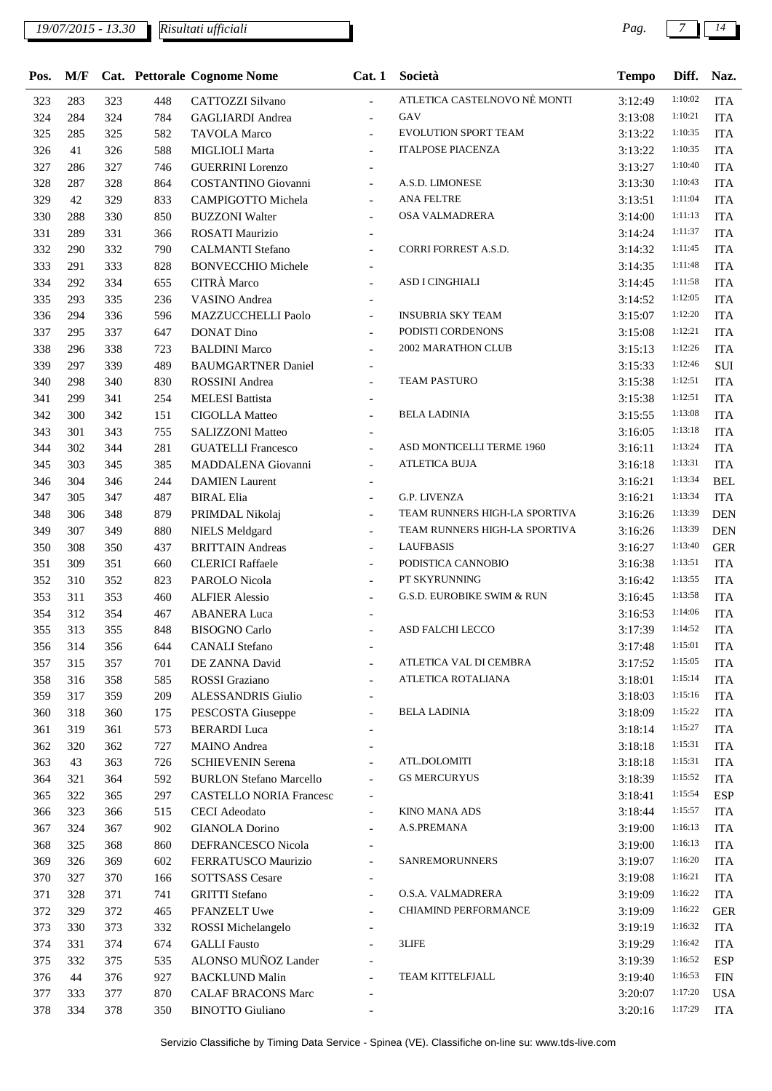| Pos.       | M/F |     |     | Cat. Pettorale Cognome Nome                        | Cat.1                    | Società                               | Tempo   | Diff.   | Naz.       |
|------------|-----|-----|-----|----------------------------------------------------|--------------------------|---------------------------------------|---------|---------|------------|
| 323        | 283 | 323 | 448 | CATTOZZI Silvano                                   | $\overline{\phantom{a}}$ | ATLETICA CASTELNOVO NÈ MONTI          | 3:12:49 | 1:10:02 | <b>ITA</b> |
| 324        | 284 | 324 | 784 | <b>GAGLIARDI</b> Andrea                            | $\blacksquare$           | GAV                                   | 3:13:08 | 1:10:21 | <b>ITA</b> |
| 325        | 285 | 325 | 582 | <b>TAVOLA Marco</b>                                | $\overline{\phantom{a}}$ | <b>EVOLUTION SPORT TEAM</b>           | 3:13:22 | 1:10:35 | <b>ITA</b> |
| 326        | 41  | 326 | 588 | MIGLIOLI Marta                                     |                          | <b>ITALPOSE PIACENZA</b>              | 3:13:22 | 1:10:35 | <b>ITA</b> |
| 327        | 286 | 327 | 746 | <b>GUERRINI</b> Lorenzo                            | $\overline{\phantom{a}}$ |                                       | 3:13:27 | 1:10:40 | <b>ITA</b> |
| 328        | 287 | 328 | 864 | COSTANTINO Giovanni                                | $\overline{\phantom{a}}$ | A.S.D. LIMONESE                       | 3:13:30 | 1:10:43 | <b>ITA</b> |
| 329        | 42  | 329 | 833 | CAMPIGOTTO Michela                                 | $\overline{\phantom{a}}$ | ANA FELTRE                            | 3:13:51 | 1:11:04 | <b>ITA</b> |
| 330        | 288 | 330 | 850 | <b>BUZZONI Walter</b>                              |                          | OSA VALMADRERA                        | 3:14:00 | 1:11:13 | <b>ITA</b> |
| 331        | 289 | 331 | 366 | <b>ROSATI Maurizio</b>                             | $\overline{\phantom{a}}$ |                                       | 3:14:24 | 1:11:37 | <b>ITA</b> |
| 332        | 290 | 332 | 790 | <b>CALMANTI Stefano</b>                            | $\overline{\phantom{a}}$ | CORRI FORREST A.S.D.                  | 3:14:32 | 1:11:45 | <b>ITA</b> |
| 333        | 291 | 333 | 828 | <b>BONVECCHIO Michele</b>                          | $\overline{\phantom{a}}$ |                                       | 3:14:35 | 1:11:48 | <b>ITA</b> |
| 334        | 292 | 334 | 655 | CITRÀ Marco                                        |                          | ASD I CINGHIALI                       | 3:14:45 | 1:11:58 | <b>ITA</b> |
| 335        | 293 | 335 | 236 | VASINO Andrea                                      |                          |                                       | 3:14:52 | 1:12:05 | <b>ITA</b> |
| 336        | 294 | 336 | 596 | MAZZUCCHELLI Paolo                                 |                          | <b>INSUBRIA SKY TEAM</b>              | 3:15:07 | 1:12:20 | <b>ITA</b> |
| 337        | 295 | 337 | 647 | <b>DONAT Dino</b>                                  | $\overline{a}$           | PODISTI CORDENONS                     | 3:15:08 | 1:12:21 | <b>ITA</b> |
| 338        | 296 | 338 | 723 | <b>BALDINI Marco</b>                               |                          | <b>2002 MARATHON CLUB</b>             | 3:15:13 | 1:12:26 | <b>ITA</b> |
| 339        | 297 | 339 | 489 | <b>BAUMGARTNER Daniel</b>                          | $\overline{\phantom{a}}$ |                                       | 3:15:33 | 1:12:46 | SUI        |
| 340        | 298 | 340 | 830 | <b>ROSSINI</b> Andrea                              |                          | <b>TEAM PASTURO</b>                   | 3:15:38 | 1:12:51 | <b>ITA</b> |
| 341        | 299 | 341 | 254 | <b>MELESI Battista</b>                             | $\blacksquare$           |                                       | 3:15:38 | 1:12:51 | <b>ITA</b> |
| 342        | 300 | 342 | 151 | <b>CIGOLLA Matteo</b>                              |                          | <b>BELA LADINIA</b>                   | 3:15:55 | 1:13:08 | <b>ITA</b> |
| 343        | 301 | 343 | 755 | <b>SALIZZONI Matteo</b>                            | $\overline{\phantom{a}}$ |                                       | 3:16:05 | 1:13:18 | <b>ITA</b> |
| 344        | 302 | 344 | 281 | <b>GUATELLI Francesco</b>                          | $\overline{\phantom{a}}$ | ASD MONTICELLI TERME 1960             | 3:16:11 | 1:13:24 | <b>ITA</b> |
| 345        | 303 | 345 | 385 | MADDALENA Giovanni                                 | $\blacksquare$           | <b>ATLETICA BUJA</b>                  | 3:16:18 | 1:13:31 | <b>ITA</b> |
| 346        | 304 | 346 | 244 | <b>DAMIEN</b> Laurent                              |                          |                                       | 3:16:21 | 1:13:34 | <b>BEL</b> |
| 347        | 305 | 347 | 487 | <b>BIRAL Elia</b>                                  | $\blacksquare$           | <b>G.P. LIVENZA</b>                   | 3:16:21 | 1:13:34 | <b>ITA</b> |
| 348        | 306 | 348 | 879 | PRIMDAL Nikolaj                                    | $\blacksquare$           | TEAM RUNNERS HIGH-LA SPORTIVA         | 3:16:26 | 1:13:39 | <b>DEN</b> |
| 349        | 307 | 349 | 880 | <b>NIELS</b> Meldgard                              | $\overline{a}$           | TEAM RUNNERS HIGH-LA SPORTIVA         | 3:16:26 | 1:13:39 | <b>DEN</b> |
| 350        | 308 | 350 | 437 | <b>BRITTAIN</b> Andreas                            |                          | <b>LAUFBASIS</b>                      | 3:16:27 | 1:13:40 | <b>GER</b> |
| 351        | 309 | 351 | 660 | <b>CLERICI Raffaele</b>                            | $\overline{\phantom{a}}$ | PODISTICA CANNOBIO                    | 3:16:38 | 1:13:51 | <b>ITA</b> |
| 352        | 310 | 352 | 823 | PAROLO Nicola                                      | $\overline{\phantom{a}}$ | PT SKYRUNNING                         | 3:16:42 | 1:13:55 | <b>ITA</b> |
| 353        | 311 | 353 | 460 | <b>ALFIER Alessio</b>                              | $\overline{\phantom{a}}$ | <b>G.S.D. EUROBIKE SWIM &amp; RUN</b> | 3:16:45 | 1:13:58 | <b>ITA</b> |
| 354        | 312 | 354 | 467 | <b>ABANERA Luca</b>                                |                          |                                       | 3:16:53 | 1:14:06 | <b>ITA</b> |
| 355        | 313 | 355 | 848 | <b>BISOGNO</b> Carlo                               | $\overline{\phantom{a}}$ | <b>ASD FALCHI LECCO</b>               | 3:17:39 | 1:14:52 | <b>ITA</b> |
| 356        | 314 | 356 | 644 | <b>CANALI</b> Stefano                              | $\overline{\phantom{a}}$ |                                       | 3:17:48 | 1:15:01 | <b>ITA</b> |
| 357        | 315 | 357 | 701 | DE ZANNA David                                     | $\overline{\phantom{a}}$ | ATLETICA VAL DI CEMBRA                | 3:17:52 | 1:15:05 | <b>ITA</b> |
|            | 316 | 358 |     |                                                    |                          | ATLETICA ROTALIANA                    |         | 1:15:14 |            |
| 358        |     |     | 585 | <b>ROSSI</b> Graziano<br><b>ALESSANDRIS Giulio</b> |                          |                                       | 3:18:01 | 1:15:16 | <b>ITA</b> |
| 359        | 317 | 359 | 209 |                                                    |                          | BELA LADINIA                          | 3:18:03 | 1:15:22 | <b>ITA</b> |
| 360<br>361 | 318 | 360 | 175 | PESCOSTA Giuseppe<br><b>BERARDI</b> Luca           | $\overline{\phantom{a}}$ |                                       | 3:18:09 | 1:15:27 | <b>ITA</b> |
|            | 319 | 361 | 573 |                                                    |                          |                                       | 3:18:14 | 1:15:31 | <b>ITA</b> |
| 362        | 320 | 362 | 727 | <b>MAINO</b> Andrea                                | $\overline{\phantom{a}}$ | ATL.DOLOMITI                          | 3:18:18 | 1:15:31 | <b>ITA</b> |
| 363        | 43  | 363 | 726 | <b>SCHIEVENIN Serena</b>                           | $\overline{\phantom{a}}$ | <b>GS MERCURYUS</b>                   | 3:18:18 | 1:15:52 | <b>ITA</b> |
| 364        | 321 | 364 | 592 | <b>BURLON Stefano Marcello</b>                     | $\overline{\phantom{a}}$ |                                       | 3:18:39 | 1:15:54 | <b>ITA</b> |
| 365        | 322 | 365 | 297 | <b>CASTELLO NORIA Francesc</b>                     | $\overline{\phantom{a}}$ | KINO MANA ADS                         | 3:18:41 | 1:15:57 | <b>ESP</b> |
| 366        | 323 | 366 | 515 | <b>CECI</b> Adeodato                               | $\overline{\phantom{a}}$ |                                       | 3:18:44 |         | <b>ITA</b> |
| 367        | 324 | 367 | 902 | <b>GIANOLA Dorino</b>                              | $\overline{\phantom{a}}$ | A.S.PREMANA                           | 3:19:00 | 1:16:13 | <b>ITA</b> |
| 368        | 325 | 368 | 860 | DEFRANCESCO Nicola                                 | $\overline{\phantom{a}}$ |                                       | 3:19:00 | 1:16:13 | <b>ITA</b> |
| 369        | 326 | 369 | 602 | FERRATUSCO Maurizio                                | $\overline{\phantom{a}}$ | SANREMORUNNERS                        | 3:19:07 | 1:16:20 | <b>ITA</b> |
| 370        | 327 | 370 | 166 | <b>SOTTSASS Cesare</b>                             | $\overline{\phantom{a}}$ |                                       | 3:19:08 | 1:16:21 | <b>ITA</b> |
| 371        | 328 | 371 | 741 | <b>GRITTI</b> Stefano                              | $\blacksquare$           | O.S.A. VALMADRERA                     | 3:19:09 | 1:16:22 | <b>ITA</b> |
| 372        | 329 | 372 | 465 | PFANZELT Uwe                                       | $\overline{a}$           | CHIAMIND PERFORMANCE                  | 3:19:09 | 1:16:22 | <b>GER</b> |
| 373        | 330 | 373 | 332 | ROSSI Michelangelo                                 |                          |                                       | 3:19:19 | 1:16:32 | <b>ITA</b> |
| 374        | 331 | 374 | 674 | <b>GALLI</b> Fausto                                |                          | 3LIFE                                 | 3:19:29 | 1:16:42 | <b>ITA</b> |
| 375        | 332 | 375 | 535 | ALONSO MUÑOZ Lander                                |                          |                                       | 3:19:39 | 1:16:52 | <b>ESP</b> |
| 376        | 44  | 376 | 927 | <b>BACKLUND Malin</b>                              | $\overline{a}$           | TEAM KITTELFJALL                      | 3:19:40 | 1:16:53 | <b>FIN</b> |
| 377        | 333 | 377 | 870 | <b>CALAF BRACONS Marc</b>                          | $\overline{a}$           |                                       | 3:20:07 | 1:17:20 | <b>USA</b> |
| 378        | 334 | 378 | 350 | <b>BINOTTO Giuliano</b>                            |                          |                                       | 3:20:16 | 1:17:29 | <b>ITA</b> |
|            |     |     |     |                                                    |                          |                                       |         |         |            |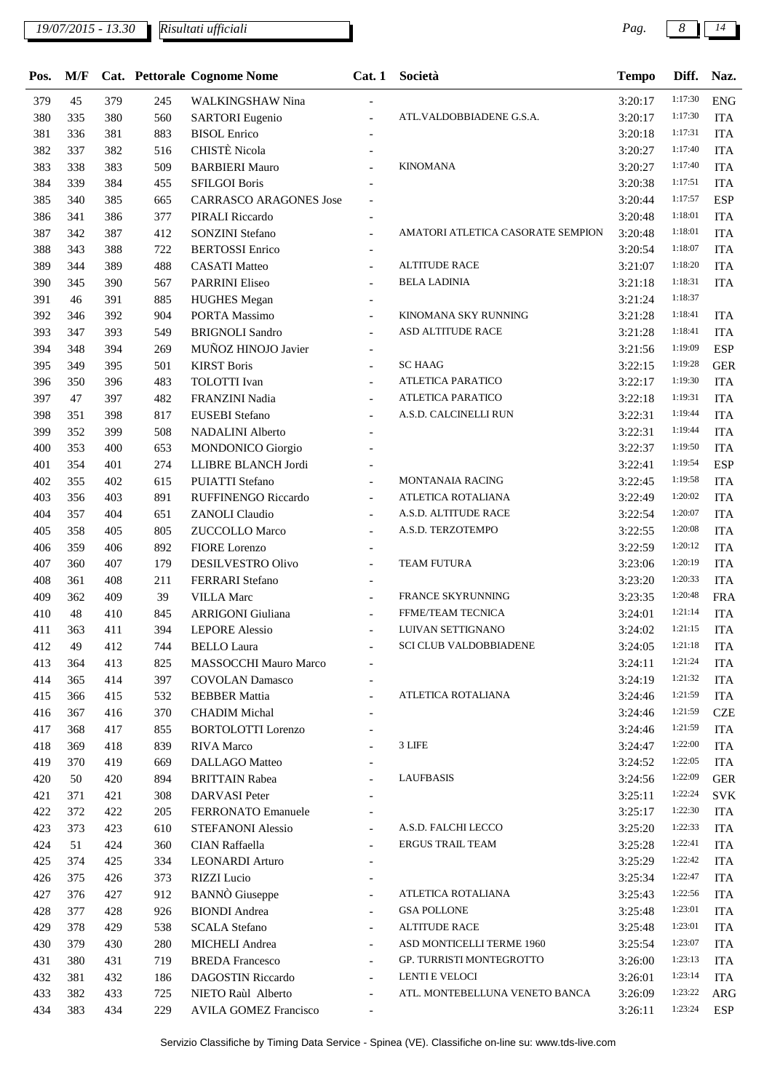*19/07/2015 - 13.30 Pag. 8 14 Risultati ufficiali*

| Pos. | M/F |     |     | <b>Cat.</b> Pettorale Cognome Nome | Cat.1                    | Società                           | <b>Tempo</b> | Diff.   | Naz.       |
|------|-----|-----|-----|------------------------------------|--------------------------|-----------------------------------|--------------|---------|------------|
| 379  | 45  | 379 | 245 | <b>WALKINGSHAW Nina</b>            | $\overline{\phantom{0}}$ |                                   | 3:20:17      | 1:17:30 | <b>ENG</b> |
| 380  | 335 | 380 | 560 | <b>SARTORI</b> Eugenio             | $\frac{1}{2}$            | ATL.VALDOBBIADENE G.S.A.          | 3:20:17      | 1:17:30 | <b>ITA</b> |
| 381  | 336 | 381 | 883 | <b>BISOL</b> Enrico                | $\overline{\phantom{a}}$ |                                   | 3:20:18      | 1:17:31 | <b>ITA</b> |
| 382  | 337 | 382 | 516 | CHISTÈ Nicola                      | $\overline{a}$           |                                   | 3:20:27      | 1:17:40 | <b>ITA</b> |
| 383  | 338 | 383 | 509 | <b>BARBIERI Mauro</b>              | $\overline{a}$           | <b>KINOMANA</b>                   | 3:20:27      | 1:17:40 | <b>ITA</b> |
| 384  | 339 | 384 | 455 | <b>SFILGOI Boris</b>               | $\overline{\phantom{a}}$ |                                   | 3:20:38      | 1:17:51 | <b>ITA</b> |
| 385  | 340 | 385 | 665 | <b>CARRASCO ARAGONES Jose</b>      |                          |                                   | 3:20:44      | 1:17:57 | <b>ESP</b> |
| 386  | 341 | 386 | 377 | PIRALI Riccardo                    | $\blacksquare$           |                                   | 3:20:48      | 1:18:01 | <b>ITA</b> |
| 387  | 342 | 387 | 412 | <b>SONZINI</b> Stefano             | $\overline{\phantom{a}}$ | AMATORI ATLETICA CASORATE SEMPION | 3:20:48      | 1:18:01 | <b>ITA</b> |
| 388  | 343 | 388 | 722 | <b>BERTOSSI</b> Enrico             | $\overline{\phantom{a}}$ |                                   | 3:20:54      | 1:18:07 | <b>ITA</b> |
| 389  | 344 | 389 | 488 | <b>CASATI Matteo</b>               | $\overline{a}$           | <b>ALTITUDE RACE</b>              | 3:21:07      | 1:18:20 | <b>ITA</b> |
| 390  | 345 | 390 | 567 | <b>PARRINI Eliseo</b>              |                          | <b>BELA LADINIA</b>               | 3:21:18      | 1:18:31 | <b>ITA</b> |
| 391  | 46  | 391 | 885 | <b>HUGHES</b> Megan                | $\overline{\phantom{0}}$ |                                   | 3:21:24      | 1:18:37 |            |
| 392  | 346 | 392 | 904 | PORTA Massimo                      | $\overline{\phantom{a}}$ | KINOMANA SKY RUNNING              | 3:21:28      | 1:18:41 | <b>ITA</b> |
| 393  | 347 | 393 | 549 | <b>BRIGNOLI Sandro</b>             | $\overline{a}$           | ASD ALTITUDE RACE                 | 3:21:28      | 1:18:41 | <b>ITA</b> |
| 394  | 348 | 394 | 269 | MUÑOZ HINOJO Javier                | $\overline{a}$           |                                   | 3:21:56      | 1:19:09 | <b>ESP</b> |
| 395  | 349 | 395 | 501 | <b>KIRST Boris</b>                 | $\frac{1}{2}$            | <b>SC HAAG</b>                    | 3:22:15      | 1:19:28 | <b>GER</b> |
| 396  | 350 | 396 | 483 | <b>TOLOTTI</b> Ivan                | $\blacksquare$           | ATLETICA PARATICO                 | 3:22:17      | 1:19:30 | <b>ITA</b> |
| 397  | 47  | 397 | 482 | FRANZINI Nadia                     | $\overline{a}$           | ATLETICA PARATICO                 | 3:22:18      | 1:19:31 | <b>ITA</b> |
| 398  | 351 | 398 | 817 | EUSEBI Stefano                     |                          | A.S.D. CALCINELLI RUN             | 3:22:31      | 1:19:44 | <b>ITA</b> |
| 399  | 352 | 399 | 508 | <b>NADALINI</b> Alberto            |                          |                                   | 3:22:31      | 1:19:44 | <b>ITA</b> |
| 400  | 353 | 400 | 653 | <b>MONDONICO</b> Giorgio           |                          |                                   | 3:22:37      | 1:19:50 | <b>ITA</b> |
| 401  | 354 | 401 | 274 | LLIBRE BLANCH Jordi                |                          |                                   | 3:22:41      | 1:19:54 | <b>ESP</b> |
| 402  | 355 | 402 | 615 | <b>PUIATTI</b> Stefano             | $\overline{a}$           | <b>MONTANAIA RACING</b>           | 3:22:45      | 1:19:58 | <b>ITA</b> |
| 403  | 356 | 403 | 891 | RUFFINENGO Riccardo                | $\overline{\phantom{a}}$ | ATLETICA ROTALIANA                | 3:22:49      | 1:20:02 | <b>ITA</b> |
| 404  | 357 | 404 | 651 | <b>ZANOLI</b> Claudio              | $\blacksquare$           | A.S.D. ALTITUDE RACE              | 3:22:54      | 1:20:07 | <b>ITA</b> |
| 405  | 358 | 405 | 805 | <b>ZUCCOLLO Marco</b>              | $\overline{\phantom{a}}$ | A.S.D. TERZOTEMPO                 | 3:22:55      | 1:20:08 | <b>ITA</b> |
| 406  | 359 | 406 | 892 | <b>FIORE</b> Lorenzo               |                          |                                   | 3:22:59      | 1:20:12 | <b>ITA</b> |
| 407  | 360 | 407 | 179 | DESILVESTRO Olivo                  | $\overline{\phantom{0}}$ | <b>TEAM FUTURA</b>                | 3:23:06      | 1:20:19 | <b>ITA</b> |
| 408  | 361 | 408 | 211 | FERRARI Stefano                    | $\overline{\phantom{a}}$ |                                   | 3:23:20      | 1:20:33 | <b>ITA</b> |
| 409  | 362 | 409 | 39  | <b>VILLA Marc</b>                  | $\overline{\phantom{a}}$ | FRANCE SKYRUNNING                 | 3:23:35      | 1:20:48 | <b>FRA</b> |
| 410  | 48  | 410 | 845 | <b>ARRIGONI</b> Giuliana           | $\overline{a}$           | FFME/TEAM TECNICA                 | 3:24:01      | 1:21:14 | <b>ITA</b> |
| 411  | 363 | 411 | 394 | <b>LEPORE</b> Alessio              | $\overline{\phantom{a}}$ | LUIVAN SETTIGNANO                 | 3:24:02      | 1:21:15 | <b>ITA</b> |
| 412  | 49  | 412 | 744 | <b>BELLO</b> Laura                 | $\blacksquare$           | <b>SCI CLUB VALDOBBIADENE</b>     | 3:24:05      | 1:21:18 | <b>ITA</b> |
| 413  | 364 | 413 | 825 | MASSOCCHI Mauro Marco              |                          |                                   | 3:24:11      | 1:21:24 | <b>ITA</b> |
| 414  | 365 | 414 | 397 | <b>COVOLAN Damasco</b>             |                          |                                   | 3:24:19      | 1:21:32 | <b>ITA</b> |
| 415  | 366 | 415 | 532 | <b>BEBBER Mattia</b>               |                          | ATLETICA ROTALIANA                | 3:24:46      | 1:21:59 | <b>ITA</b> |
| 416  | 367 | 416 | 370 | <b>CHADIM Michal</b>               |                          |                                   | 3:24:46      | 1:21:59 | <b>CZE</b> |
| 417  | 368 | 417 | 855 | <b>BORTOLOTTI</b> Lorenzo          |                          |                                   | 3:24:46      | 1:21:59 | <b>ITA</b> |
| 418  | 369 | 418 | 839 | RIVA Marco                         | $\overline{a}$           | 3 LIFE                            | 3:24:47      | 1:22:00 | <b>ITA</b> |
| 419  | 370 | 419 | 669 | DALLAGO Matteo                     | $\overline{\phantom{a}}$ |                                   | 3:24:52      | 1:22:05 | <b>ITA</b> |
| 420  | 50  | 420 | 894 | <b>BRITTAIN Rabea</b>              | $\overline{a}$           | <b>LAUFBASIS</b>                  | 3:24:56      | 1:22:09 | <b>GER</b> |
| 421  | 371 | 421 | 308 | <b>DARVASI</b> Peter               |                          |                                   | 3:25:11      | 1:22:24 | <b>SVK</b> |
| 422  | 372 | 422 | 205 | FERRONATO Emanuele                 | $\overline{\phantom{a}}$ |                                   | 3:25:17      | 1:22:30 | <b>ITA</b> |
| 423  | 373 | 423 | 610 | STEFANONI Alessio                  | $\overline{\phantom{0}}$ | A.S.D. FALCHI LECCO               | 3:25:20      | 1:22:33 | <b>ITA</b> |
| 424  | 51  | 424 | 360 | CIAN Raffaella                     | $\overline{\phantom{a}}$ | <b>ERGUS TRAIL TEAM</b>           | 3:25:28      | 1:22:41 | <b>ITA</b> |
| 425  | 374 | 425 | 334 | <b>LEONARDI</b> Arturo             | $\overline{\phantom{a}}$ |                                   | 3:25:29      | 1:22:42 | <b>ITA</b> |
| 426  | 375 | 426 | 373 | RIZZI Lucio                        | $\overline{\phantom{a}}$ |                                   | 3:25:34      | 1:22:47 | <b>ITA</b> |
| 427  | 376 | 427 | 912 | <b>BANNO</b> Giuseppe              | $\overline{\phantom{0}}$ | ATLETICA ROTALIANA                | 3:25:43      | 1:22:56 | <b>ITA</b> |
| 428  | 377 | 428 | 926 | <b>BIONDI</b> Andrea               | $\overline{a}$           | <b>GSA POLLONE</b>                | 3:25:48      | 1:23:01 | <b>ITA</b> |
| 429  | 378 | 429 | 538 | <b>SCALA Stefano</b>               |                          | <b>ALTITUDE RACE</b>              | 3:25:48      | 1:23:01 | <b>ITA</b> |
| 430  | 379 | 430 | 280 | <b>MICHELI</b> Andrea              | $\overline{\phantom{a}}$ | ASD MONTICELLI TERME 1960         | 3:25:54      | 1:23:07 | <b>ITA</b> |
| 431  | 380 | 431 | 719 | <b>BREDA</b> Francesco             | $\overline{\phantom{0}}$ | GP. TURRISTI MONTEGROTTO          | 3:26:00      | 1:23:13 | <b>ITA</b> |
| 432  | 381 | 432 | 186 | DAGOSTIN Riccardo                  | $\overline{\phantom{0}}$ | LENTI E VELOCI                    | 3:26:01      | 1:23:14 | <b>ITA</b> |
| 433  | 382 | 433 | 725 | NIETO Raùl Alberto                 | $\overline{\phantom{0}}$ | ATL. MONTEBELLUNA VENETO BANCA    | 3:26:09      | 1:23:22 | <b>ARG</b> |
| 434  | 383 | 434 | 229 | <b>AVILA GOMEZ Francisco</b>       | $\overline{\phantom{a}}$ |                                   | 3:26:11      | 1:23:24 | <b>ESP</b> |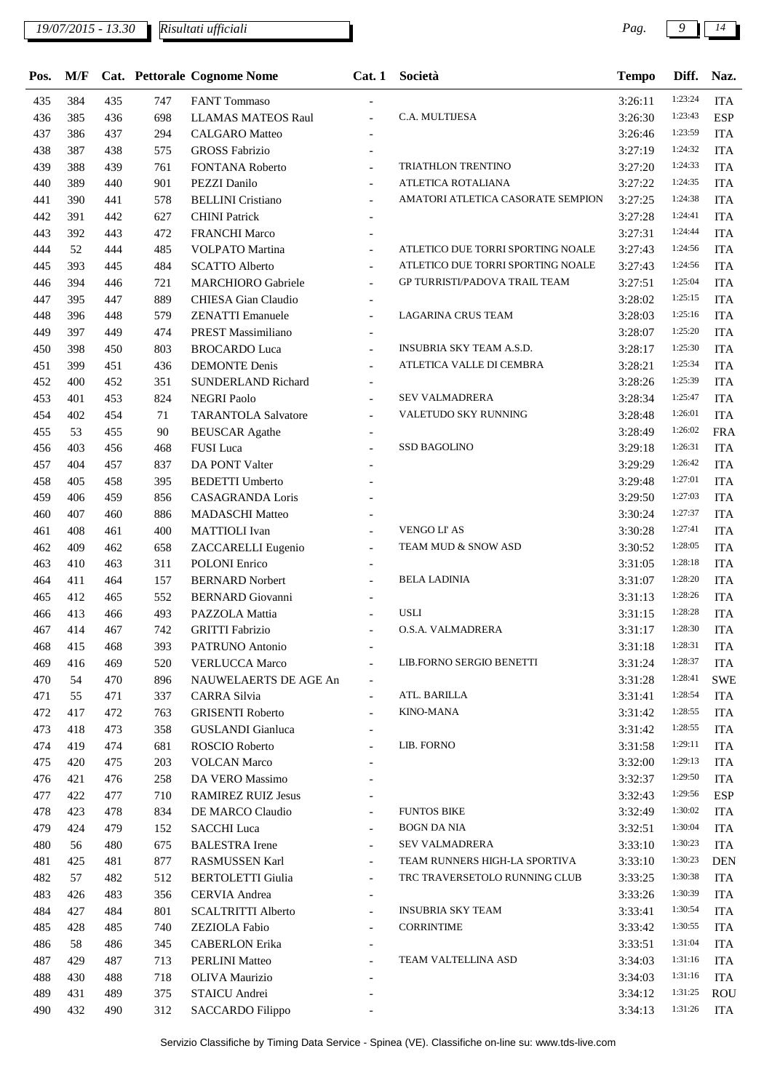| Pos. | M/F |     |     | Cat. Pettorale Cognome Nome | Cat.1                    | Società                           | <b>Tempo</b> | Diff.   | Naz.       |
|------|-----|-----|-----|-----------------------------|--------------------------|-----------------------------------|--------------|---------|------------|
| 435  | 384 | 435 | 747 | <b>FANT</b> Tommaso         |                          |                                   | 3:26:11      | 1:23:24 | <b>ITA</b> |
| 436  | 385 | 436 | 698 | <b>LLAMAS MATEOS Raul</b>   |                          | C.A. MULTIJESA                    | 3:26:30      | 1:23:43 | <b>ESP</b> |
| 437  | 386 | 437 | 294 | <b>CALGARO</b> Matteo       |                          |                                   | 3:26:46      | 1:23:59 | <b>ITA</b> |
| 438  | 387 | 438 | 575 | <b>GROSS Fabrizio</b>       |                          |                                   | 3:27:19      | 1:24:32 | <b>ITA</b> |
| 439  | 388 | 439 | 761 | FONTANA Roberto             |                          | TRIATHLON TRENTINO                | 3:27:20      | 1:24:33 | <b>ITA</b> |
| 440  | 389 | 440 | 901 | PEZZI Danilo                | $\overline{\phantom{a}}$ | ATLETICA ROTALIANA                | 3:27:22      | 1:24:35 | <b>ITA</b> |
| 441  | 390 | 441 | 578 | <b>BELLINI</b> Cristiano    | $\overline{\phantom{a}}$ | AMATORI ATLETICA CASORATE SEMPION | 3:27:25      | 1:24:38 | <b>ITA</b> |
| 442  | 391 | 442 | 627 | <b>CHINI</b> Patrick        |                          |                                   | 3:27:28      | 1:24:41 | <b>ITA</b> |
| 443  | 392 | 443 | 472 | <b>FRANCHI Marco</b>        |                          |                                   | 3:27:31      | 1:24:44 | <b>ITA</b> |
| 444  | 52  | 444 | 485 | <b>VOLPATO</b> Martina      | $\overline{a}$           | ATLETICO DUE TORRI SPORTING NOALE | 3:27:43      | 1:24:56 | <b>ITA</b> |
| 445  | 393 | 445 | 484 | <b>SCATTO Alberto</b>       | $\overline{a}$           | ATLETICO DUE TORRI SPORTING NOALE | 3:27:43      | 1:24:56 | <b>ITA</b> |
| 446  | 394 | 446 | 721 | <b>MARCHIORO</b> Gabriele   | $\overline{a}$           | GP TURRISTI/PADOVA TRAIL TEAM     | 3:27:51      | 1:25:04 | <b>ITA</b> |
| 447  | 395 | 447 | 889 | CHIESA Gian Claudio         |                          |                                   | 3:28:02      | 1:25:15 | <b>ITA</b> |
| 448  | 396 | 448 | 579 | <b>ZENATTI Emanuele</b>     | $\overline{\phantom{a}}$ | LAGARINA CRUS TEAM                | 3:28:03      | 1:25:16 | <b>ITA</b> |
| 449  | 397 | 449 | 474 | PREST Massimiliano          | $\overline{a}$           |                                   | 3:28:07      | 1:25:20 | <b>ITA</b> |
| 450  | 398 | 450 | 803 | <b>BROCARDO</b> Luca        | $\overline{a}$           | <b>INSUBRIA SKY TEAM A.S.D.</b>   | 3:28:17      | 1:25:30 | <b>ITA</b> |
| 451  | 399 | 451 | 436 | <b>DEMONTE</b> Denis        |                          | ATLETICA VALLE DI CEMBRA          | 3:28:21      | 1:25:34 | <b>ITA</b> |
| 452  | 400 | 452 | 351 | SUNDERLAND Richard          | $\overline{\phantom{a}}$ |                                   | 3:28:26      | 1:25:39 | <b>ITA</b> |
| 453  | 401 | 453 | 824 | <b>NEGRI Paolo</b>          |                          | SEV VALMADRERA                    | 3:28:34      | 1:25:47 | <b>ITA</b> |
| 454  | 402 | 454 | 71  | <b>TARANTOLA Salvatore</b>  | $\overline{a}$           | VALETUDO SKY RUNNING              | 3:28:48      | 1:26:01 | <b>ITA</b> |
| 455  | 53  | 455 | 90  | <b>BEUSCAR</b> Agathe       |                          |                                   | 3:28:49      | 1:26:02 | <b>FRA</b> |
| 456  | 403 | 456 | 468 | FUSI Luca                   |                          | <b>SSD BAGOLINO</b>               | 3:29:18      | 1:26:31 | <b>ITA</b> |
| 457  | 404 | 457 | 837 | DA PONT Valter              |                          |                                   | 3:29:29      | 1:26:42 | <b>ITA</b> |
| 458  | 405 | 458 | 395 | <b>BEDETTI</b> Umberto      |                          |                                   | 3:29:48      | 1:27:01 | <b>ITA</b> |
| 459  | 406 | 459 | 856 | CASAGRANDA Loris            |                          |                                   | 3:29:50      | 1:27:03 | <b>ITA</b> |
| 460  | 407 | 460 | 886 | <b>MADASCHI</b> Matteo      |                          |                                   | 3:30:24      | 1:27:37 | <b>ITA</b> |
| 461  | 408 | 461 | 400 | <b>MATTIOLI</b> Ivan        |                          | VENGO LI' AS                      | 3:30:28      | 1:27:41 | <b>ITA</b> |
| 462  | 409 | 462 | 658 | ZACCARELLI Eugenio          | $\overline{a}$           | TEAM MUD & SNOW ASD               | 3:30:52      | 1:28:05 | <b>ITA</b> |
| 463  | 410 | 463 | 311 | <b>POLONI</b> Enrico        |                          |                                   | 3:31:05      | 1:28:18 | <b>ITA</b> |
| 464  | 411 | 464 | 157 | <b>BERNARD Norbert</b>      |                          | <b>BELA LADINIA</b>               | 3:31:07      | 1:28:20 | <b>ITA</b> |
| 465  | 412 | 465 | 552 | <b>BERNARD</b> Giovanni     | $\overline{\phantom{a}}$ |                                   | 3:31:13      | 1:28:26 | <b>ITA</b> |
| 466  | 413 | 466 | 493 | PAZZOLA Mattia              |                          | <b>USLI</b>                       | 3:31:15      | 1:28:28 | <b>ITA</b> |
| 467  | 414 | 467 | 742 | <b>GRITTI Fabrizio</b>      |                          | O.S.A. VALMADRERA                 | 3:31:17      | 1:28:30 | <b>ITA</b> |
| 468  | 415 | 468 | 393 | PATRUNO Antonio             | $\overline{\phantom{a}}$ |                                   | 3:31:18      | 1:28:31 | <b>ITA</b> |
| 469  | 416 | 469 | 520 | <b>VERLUCCA Marco</b>       |                          | LIB.FORNO SERGIO BENETTI          | 3:31:24      | 1:28:37 | <b>ITA</b> |
| 470  | 54  | 470 | 896 | NAUWELAERTS DE AGE An       |                          |                                   | 3:31:28      | 1:28:41 | <b>SWE</b> |
| 471  | 55  | 471 | 337 | CARRA Silvia                | $\overline{\phantom{a}}$ | ATL. BARILLA                      | 3:31:41      | 1:28:54 | <b>ITA</b> |
| 472  | 417 | 472 | 763 | <b>GRISENTI Roberto</b>     | $\blacksquare$           | <b>KINO-MANA</b>                  | 3:31:42      | 1:28:55 | <b>ITA</b> |
| 473  | 418 | 473 | 358 | GUSLANDI Gianluca           |                          |                                   | 3:31:42      | 1:28:55 | <b>ITA</b> |
| 474  | 419 | 474 | 681 | ROSCIO Roberto              |                          | LIB. FORNO                        | 3:31:58      | 1:29:11 | <b>ITA</b> |
| 475  | 420 | 475 | 203 | <b>VOLCAN Marco</b>         |                          |                                   | 3:32:00      | 1:29:13 | <b>ITA</b> |
| 476  | 421 | 476 | 258 | DA VERO Massimo             |                          |                                   | 3:32:37      | 1:29:50 | <b>ITA</b> |
| 477  | 422 | 477 | 710 | <b>RAMIREZ RUIZ Jesus</b>   |                          |                                   | 3:32:43      | 1:29:56 | <b>ESP</b> |
| 478  | 423 | 478 | 834 | DE MARCO Claudio            |                          | <b>FUNTOS BIKE</b>                | 3:32:49      | 1:30:02 | <b>ITA</b> |
| 479  | 424 | 479 | 152 | <b>SACCHI</b> Luca          | $\overline{\phantom{a}}$ | <b>BOGN DA NIA</b>                | 3:32:51      | 1:30:04 | <b>ITA</b> |
| 480  | 56  | 480 | 675 | <b>BALESTRA</b> Irene       | $\overline{\phantom{a}}$ | <b>SEV VALMADRERA</b>             | 3:33:10      | 1:30:23 | <b>ITA</b> |
| 481  | 425 | 481 | 877 | RASMUSSEN Karl              | $\overline{\phantom{a}}$ | TEAM RUNNERS HIGH-LA SPORTIVA     | 3:33:10      | 1:30:23 | <b>DEN</b> |
| 482  | 57  | 482 | 512 | <b>BERTOLETTI Giulia</b>    | $\overline{\phantom{a}}$ | TRC TRAVERSETOLO RUNNING CLUB     | 3:33:25      | 1:30:38 | <b>ITA</b> |
| 483  | 426 | 483 | 356 | CERVIA Andrea               |                          |                                   | 3:33:26      | 1:30:39 | <b>ITA</b> |
| 484  | 427 | 484 | 801 | <b>SCALTRITTI Alberto</b>   | $\blacksquare$           | <b>INSUBRIA SKY TEAM</b>          | 3:33:41      | 1:30:54 | <b>ITA</b> |
| 485  | 428 | 485 | 740 | ZEZIOLA Fabio               |                          | <b>CORRINTIME</b>                 | 3:33:42      | 1:30:55 | <b>ITA</b> |
| 486  | 58  | 486 | 345 | <b>CABERLON</b> Erika       |                          |                                   | 3:33:51      | 1:31:04 | <b>ITA</b> |
| 487  | 429 | 487 | 713 | <b>PERLINI Matteo</b>       |                          | TEAM VALTELLINA ASD               | 3:34:03      | 1:31:16 | <b>ITA</b> |
| 488  | 430 | 488 | 718 | OLIVA Maurizio              |                          |                                   | 3:34:03      | 1:31:16 | <b>ITA</b> |
| 489  | 431 | 489 | 375 | STAICU Andrei               |                          |                                   | 3:34:12      | 1:31:25 | <b>ROU</b> |
| 490  | 432 | 490 | 312 | SACCARDO Filippo            |                          |                                   | 3:34:13      | 1:31:26 | ITA        |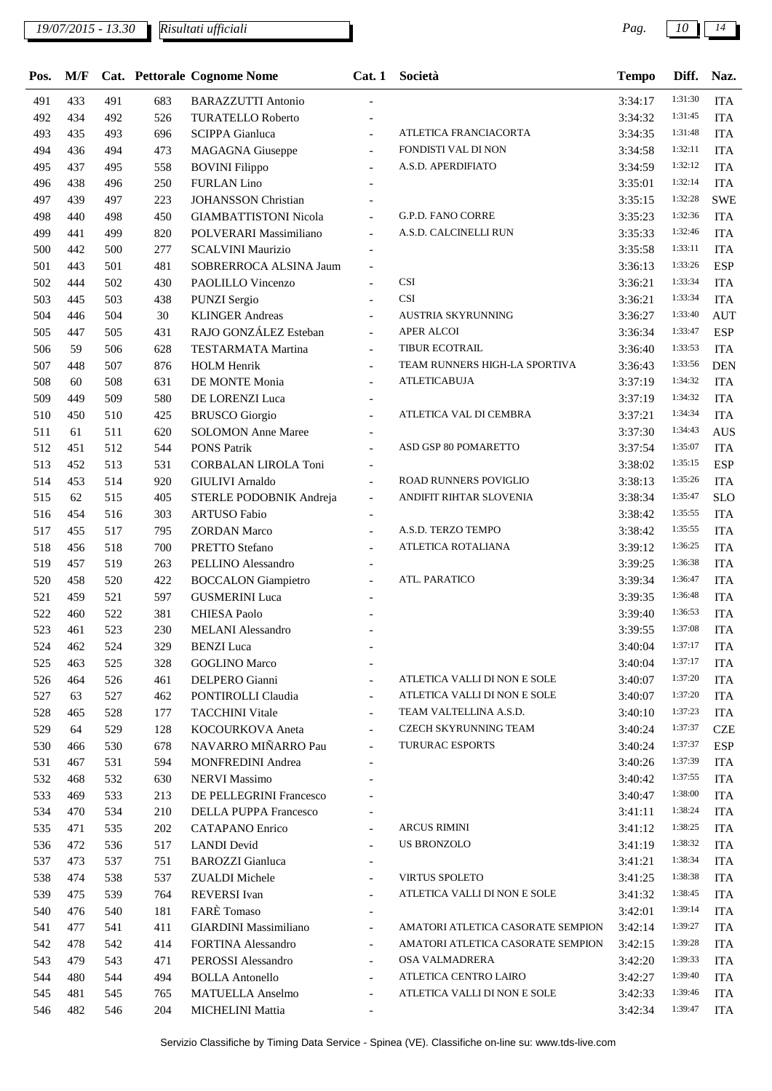*19/07/2015 - 13.30 Pag. 10 14 Risultati ufficiali*

| Pos. | M/F |     |     | <b>Cat. Pettorale Cognome Nome</b> | Cat.1                    | Società                           | <b>Tempo</b> | Diff.   | Naz.       |
|------|-----|-----|-----|------------------------------------|--------------------------|-----------------------------------|--------------|---------|------------|
| 491  | 433 | 491 | 683 | <b>BARAZZUTTI Antonio</b>          |                          |                                   | 3:34:17      | 1:31:30 | <b>ITA</b> |
| 492  | 434 | 492 | 526 | <b>TURATELLO Roberto</b>           |                          |                                   | 3:34:32      | 1:31:45 | <b>ITA</b> |
| 493  | 435 | 493 | 696 | <b>SCIPPA</b> Gianluca             |                          | ATLETICA FRANCIACORTA             | 3:34:35      | 1:31:48 | <b>ITA</b> |
| 494  | 436 | 494 | 473 | <b>MAGAGNA</b> Giuseppe            | $\overline{\phantom{a}}$ | FONDISTI VAL DI NON               | 3:34:58      | 1:32:11 | <b>ITA</b> |
| 495  | 437 | 495 | 558 | <b>BOVINI</b> Filippo              | $\overline{a}$           | A.S.D. APERDIFIATO                | 3:34:59      | 1:32:12 | <b>ITA</b> |
| 496  | 438 | 496 | 250 | <b>FURLAN Lino</b>                 |                          |                                   | 3:35:01      | 1:32:14 | <b>ITA</b> |
| 497  | 439 | 497 | 223 | <b>JOHANSSON Christian</b>         |                          |                                   | 3:35:15      | 1:32:28 | <b>SWE</b> |
| 498  | 440 | 498 | 450 | <b>GIAMBATTISTONI Nicola</b>       |                          | <b>G.P.D. FANO CORRE</b>          | 3:35:23      | 1:32:36 | <b>ITA</b> |
| 499  | 441 | 499 | 820 | POLVERARI Massimiliano             | $\overline{\phantom{a}}$ | A.S.D. CALCINELLI RUN             | 3:35:33      | 1:32:46 | <b>ITA</b> |
| 500  | 442 | 500 | 277 | <b>SCALVINI Maurizio</b>           |                          |                                   | 3:35:58      | 1:33:11 | <b>ITA</b> |
| 501  | 443 | 501 | 481 | SOBRERROCA ALSINA Jaum             | $\overline{\phantom{a}}$ |                                   | 3:36:13      | 1:33:26 | <b>ESP</b> |
| 502  | 444 | 502 | 430 | PAOLILLO Vincenzo                  |                          | <b>CSI</b>                        | 3:36:21      | 1:33:34 | <b>ITA</b> |
| 503  | 445 | 503 | 438 | <b>PUNZI Sergio</b>                |                          | CSI                               | 3:36:21      | 1:33:34 | <b>ITA</b> |
| 504  | 446 | 504 | 30  | <b>KLINGER Andreas</b>             | $\overline{a}$           | AUSTRIA SKYRUNNING                | 3:36:27      | 1:33:40 | <b>AUT</b> |
| 505  | 447 | 505 | 431 | RAJO GONZÁLEZ Esteban              | $\overline{\phantom{a}}$ | APER ALCOI                        | 3:36:34      | 1:33:47 | <b>ESP</b> |
| 506  | 59  | 506 | 628 | <b>TESTARMATA Martina</b>          | $\overline{\phantom{a}}$ | TIBUR ECOTRAIL                    | 3:36:40      | 1:33:53 | <b>ITA</b> |
| 507  | 448 | 507 | 876 | <b>HOLM Henrik</b>                 | $\overline{\phantom{a}}$ | TEAM RUNNERS HIGH-LA SPORTIVA     | 3:36:43      | 1:33:56 | <b>DEN</b> |
| 508  | 60  | 508 | 631 | DE MONTE Monia                     | $\overline{\phantom{a}}$ | <b>ATLETICABUJA</b>               | 3:37:19      | 1:34:32 | <b>ITA</b> |
| 509  | 449 | 509 | 580 | DE LORENZI Luca                    |                          |                                   | 3:37:19      | 1:34:32 | <b>ITA</b> |
| 510  | 450 | 510 | 425 | <b>BRUSCO</b> Giorgio              | $\overline{a}$           | ATLETICA VAL DI CEMBRA            | 3:37:21      | 1:34:34 | <b>ITA</b> |
| 511  | 61  | 511 | 620 | <b>SOLOMON</b> Anne Maree          |                          |                                   | 3:37:30      | 1:34:43 | <b>AUS</b> |
| 512  | 451 | 512 | 544 | <b>PONS Patrik</b>                 |                          | ASD GSP 80 POMARETTO              | 3:37:54      | 1:35:07 | <b>ITA</b> |
| 513  | 452 | 513 | 531 | CORBALAN LIROLA Toni               | $\overline{\phantom{a}}$ |                                   | 3:38:02      | 1:35:15 | <b>ESP</b> |
| 514  | 453 | 514 | 920 | <b>GIULIVI</b> Arnaldo             | $\overline{\phantom{a}}$ | ROAD RUNNERS POVIGLIO             | 3:38:13      | 1:35:26 | <b>ITA</b> |
| 515  | 62  | 515 | 405 | STERLE PODOBNIK Andreja            | $\overline{\phantom{a}}$ | ANDIFIT RIHTAR SLOVENIA           | 3:38:34      | 1:35:47 | <b>SLO</b> |
| 516  | 454 | 516 | 303 | <b>ARTUSO Fabio</b>                | $\overline{\phantom{a}}$ |                                   | 3:38:42      | 1:35:55 | <b>ITA</b> |
| 517  | 455 | 517 | 795 | <b>ZORDAN</b> Marco                |                          | A.S.D. TERZO TEMPO                | 3:38:42      | 1:35:55 | <b>ITA</b> |
| 518  | 456 | 518 | 700 | PRETTO Stefano                     |                          | ATLETICA ROTALIANA                | 3:39:12      | 1:36:25 | <b>ITA</b> |
| 519  | 457 | 519 | 263 | PELLINO Alessandro                 |                          |                                   | 3:39:25      | 1:36:38 | <b>ITA</b> |
| 520  | 458 | 520 | 422 | <b>BOCCALON</b> Giampietro         |                          | ATL. PARATICO                     | 3:39:34      | 1:36:47 | <b>ITA</b> |
| 521  | 459 | 521 | 597 | <b>GUSMERINI</b> Luca              |                          |                                   | 3:39:35      | 1:36:48 | <b>ITA</b> |
| 522  | 460 | 522 | 381 | <b>CHIESA Paolo</b>                |                          |                                   | 3:39:40      | 1:36:53 | <b>ITA</b> |
| 523  | 461 | 523 | 230 | <b>MELANI</b> Alessandro           |                          |                                   | 3:39:55      | 1:37:08 | <b>ITA</b> |
| 524  | 462 | 524 | 329 | <b>BENZI</b> Luca                  |                          |                                   | 3:40:04      | 1:37:17 | <b>ITA</b> |
| 525  | 463 | 525 | 328 | <b>GOGLINO Marco</b>               |                          |                                   | 3:40:04      | 1:37:17 | <b>ITA</b> |
| 526  | 464 | 526 | 461 | DELPERO Gianni                     | $\overline{a}$           | ATLETICA VALLI DI NON E SOLE      | 3:40:07      | 1:37:20 | <b>ITA</b> |
| 527  | 63  | 527 | 462 | PONTIROLLI Claudia                 | $\overline{\phantom{a}}$ | ATLETICA VALLI DI NON E SOLE      | 3:40:07      | 1:37:20 | <b>ITA</b> |
| 528  | 465 | 528 | 177 | <b>TACCHINI Vitale</b>             | $\overline{\phantom{a}}$ | TEAM VALTELLINA A.S.D.            | 3:40:10      | 1:37:23 | <b>ITA</b> |
| 529  | 64  | 529 | 128 | KOCOURKOVA Aneta                   | $\overline{\phantom{a}}$ | CZECH SKYRUNNING TEAM             | 3:40:24      | 1:37:37 | <b>CZE</b> |
| 530  | 466 | 530 | 678 | NAVARRO MIÑARRO Pau                | $\overline{\phantom{a}}$ | <b>TURURAC ESPORTS</b>            | 3:40:24      | 1:37:37 | <b>ESP</b> |
| 531  | 467 | 531 | 594 | <b>MONFREDINI Andrea</b>           |                          |                                   | 3:40:26      | 1:37:39 | <b>ITA</b> |
| 532  | 468 | 532 | 630 | <b>NERVI Massimo</b>               |                          |                                   | 3:40:42      | 1:37:55 | <b>ITA</b> |
| 533  | 469 | 533 | 213 | DE PELLEGRINI Francesco            |                          |                                   | 3:40:47      | 1:38:00 | <b>ITA</b> |
| 534  | 470 | 534 | 210 | DELLA PUPPA Francesco              |                          |                                   | 3:41:11      | 1:38:24 | <b>ITA</b> |
| 535  | 471 | 535 | 202 | <b>CATAPANO</b> Enrico             |                          | <b>ARCUS RIMINI</b>               | 3:41:12      | 1:38:25 | <b>ITA</b> |
| 536  | 472 | 536 | 517 | <b>LANDI</b> Devid                 |                          | <b>US BRONZOLO</b>                | 3:41:19      | 1:38:32 | <b>ITA</b> |
| 537  | 473 | 537 | 751 | <b>BAROZZI</b> Gianluca            |                          |                                   | 3:41:21      | 1:38:34 | <b>ITA</b> |
| 538  | 474 | 538 | 537 | <b>ZUALDI</b> Michele              | $\overline{\phantom{a}}$ | <b>VIRTUS SPOLETO</b>             | 3:41:25      | 1:38:38 | <b>ITA</b> |
| 539  | 475 | 539 | 764 | <b>REVERSI</b> Ivan                | $\blacksquare$           | ATLETICA VALLI DI NON E SOLE      | 3:41:32      | 1:38:45 | <b>ITA</b> |
| 540  | 476 | 540 | 181 | <b>FARE</b> Tomaso                 |                          |                                   | 3:42:01      | 1:39:14 | <b>ITA</b> |
| 541  | 477 | 541 | 411 | <b>GIARDINI</b> Massimiliano       | $\blacksquare$           | AMATORI ATLETICA CASORATE SEMPION | 3:42:14      | 1:39:27 | <b>ITA</b> |
| 542  | 478 | 542 | 414 | <b>FORTINA Alessandro</b>          | $\overline{\phantom{a}}$ | AMATORI ATLETICA CASORATE SEMPION | 3:42:15      | 1:39:28 | <b>ITA</b> |
| 543  | 479 | 543 | 471 | PEROSSI Alessandro                 | $\blacksquare$           | OSA VALMADRERA                    | 3:42:20      | 1:39:33 | <b>ITA</b> |
| 544  | 480 | 544 | 494 | <b>BOLLA</b> Antonello             | $\overline{\phantom{a}}$ | ATLETICA CENTRO LAIRO             | 3:42:27      | 1:39:40 | <b>ITA</b> |
| 545  | 481 | 545 | 765 | <b>MATUELLA</b> Anselmo            | $\overline{\phantom{a}}$ | ATLETICA VALLI DI NON E SOLE      | 3:42:33      | 1:39:46 | <b>ITA</b> |
| 546  | 482 | 546 | 204 | MICHELINI Mattia                   |                          |                                   | 3:42:34      | 1:39:47 | <b>ITA</b> |
|      |     |     |     |                                    |                          |                                   |              |         |            |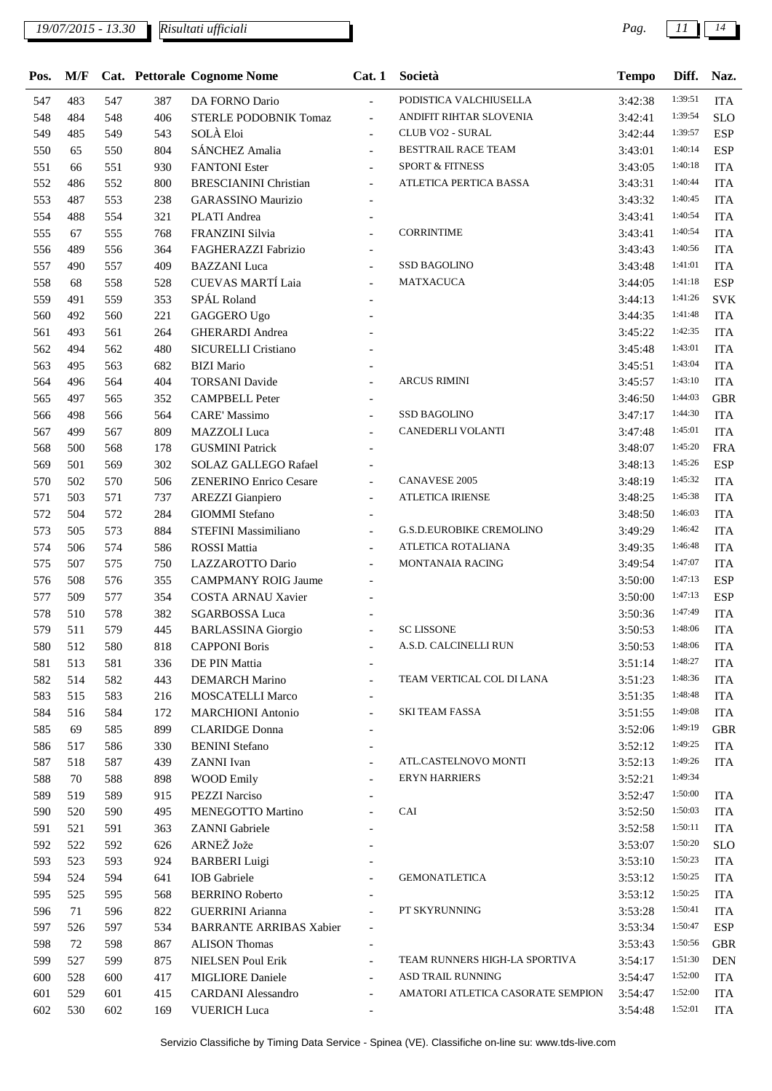*19/07/2015 - 13.30 Pag. 11 14 Risultati ufficiali*

| Pos.       | M/F        |            |            | Cat. Pettorale Cognome Nome                  | Cat. 1                                               | Società                           | <b>Tempo</b>       | Diff.              | Naz.                     |
|------------|------------|------------|------------|----------------------------------------------|------------------------------------------------------|-----------------------------------|--------------------|--------------------|--------------------------|
| 547        | 483        | 547        | 387        | DA FORNO Dario                               | $\overline{\phantom{a}}$                             | PODISTICA VALCHIUSELLA            | 3:42:38            | 1:39:51            | <b>ITA</b>               |
| 548        | 484        | 548        | 406        | <b>STERLE PODOBNIK Tomaz</b>                 | $\blacksquare$                                       | ANDIFIT RIHTAR SLOVENIA           | 3:42:41            | 1:39:54            | <b>SLO</b>               |
| 549        | 485        | 549        | 543        | SOLÀ Eloi                                    | $\overline{a}$                                       | CLUB VO2 - SURAL                  | 3:42:44            | 1:39:57            | <b>ESP</b>               |
| 550        | 65         | 550        | 804        | SÁNCHEZ Amalia                               | $\overline{a}$                                       | BESTTRAIL RACE TEAM               | 3:43:01            | 1:40:14            | <b>ESP</b>               |
| 551        | 66         | 551        | 930        | <b>FANTONI</b> Ester                         | $\overline{\phantom{a}}$                             | <b>SPORT &amp; FITNESS</b>        | 3:43:05            | 1:40:18            | <b>ITA</b>               |
| 552        | 486        | 552        | 800        | <b>BRESCIANINI Christian</b>                 | $\overline{\phantom{a}}$                             | ATLETICA PERTICA BASSA            | 3:43:31            | 1:40:44            | <b>ITA</b>               |
| 553        | 487        | 553        | 238        | <b>GARASSINO Maurizio</b>                    |                                                      |                                   | 3:43:32            | 1:40:45            | <b>ITA</b>               |
| 554        | 488        | 554        | 321        | PLATI Andrea                                 |                                                      |                                   | 3:43:41            | 1:40:54            | <b>ITA</b>               |
| 555        | 67         | 555        | 768        | FRANZINI Silvia                              | $\overline{a}$                                       | <b>CORRINTIME</b>                 | 3:43:41            | 1:40:54            | <b>ITA</b>               |
| 556        | 489        | 556        | 364        | FAGHERAZZI Fabrizio                          | $\overline{\phantom{a}}$                             |                                   | 3:43:43            | 1:40:56            | <b>ITA</b>               |
| 557        | 490        | 557        | 409        | <b>BAZZANI</b> Luca                          |                                                      | SSD BAGOLINO                      | 3:43:48            | 1:41:01            | <b>ITA</b>               |
| 558        | 68         | 558        | 528        | <b>CUEVAS MARTÍ Laia</b>                     | $\overline{a}$                                       | <b>MATXACUCA</b>                  | 3:44:05            | 1:41:18            | <b>ESP</b>               |
| 559        | 491        | 559        | 353        | SPÁL Roland                                  |                                                      |                                   | 3:44:13            | 1:41:26            | <b>SVK</b>               |
| 560        | 492        | 560        | 221        | <b>GAGGERO Ugo</b>                           |                                                      |                                   | 3:44:35            | 1:41:48            | <b>ITA</b>               |
| 561        | 493        | 561        | 264        | <b>GHERARDI</b> Andrea                       |                                                      |                                   | 3:45:22            | 1:42:35            | <b>ITA</b>               |
| 562        | 494        | 562        | 480        | SICURELLI Cristiano                          |                                                      |                                   | 3:45:48            | 1:43:01            | <b>ITA</b>               |
| 563        | 495        | 563        | 682        | <b>BIZI Mario</b>                            | $\overline{\phantom{0}}$                             |                                   | 3:45:51            | 1:43:04            | <b>ITA</b>               |
| 564        | 496        | 564        | 404        | <b>TORSANI</b> Davide                        | $\overline{a}$                                       | <b>ARCUS RIMINI</b>               | 3:45:57            | 1:43:10            | <b>ITA</b>               |
| 565        | 497        | 565        | 352        | <b>CAMPBELL Peter</b>                        | $\overline{a}$                                       |                                   | 3:46:50            | 1:44:03            | <b>GBR</b>               |
| 566        | 498        | 566        | 564        | <b>CARE' Massimo</b>                         |                                                      | <b>SSD BAGOLINO</b>               | 3:47:17            | 1:44:30            | <b>ITA</b>               |
| 567        | 499        | 567        | 809        | <b>MAZZOLI</b> Luca                          | $\overline{a}$                                       | CANEDERLI VOLANTI                 | 3:47:48            | 1:45:01            | <b>ITA</b>               |
| 568        | 500        | 568        | 178        | <b>GUSMINI Patrick</b>                       |                                                      |                                   | 3:48:07            | 1:45:20            | <b>FRA</b>               |
| 569        | 501        | 569        | 302        | SOLAZ GALLEGO Rafael                         |                                                      |                                   | 3:48:13            | 1:45:26            | <b>ESP</b>               |
| 570        | 502        | 570        | 506        | <b>ZENERINO Enrico Cesare</b>                | $\overline{\phantom{a}}$                             | <b>CANAVESE 2005</b>              | 3:48:19            | 1:45:32            | <b>ITA</b>               |
| 571        | 503        | 571        | 737        | <b>AREZZI</b> Gianpiero                      | $\overline{\phantom{a}}$                             | <b>ATLETICA IRIENSE</b>           | 3:48:25            | 1:45:38            | <b>ITA</b>               |
| 572        | 504        | 572        | 284        | <b>GIOMMI</b> Stefano                        |                                                      |                                   | 3:48:50            | 1:46:03            | <b>ITA</b>               |
| 573        | 505        | 573        | 884        | STEFINI Massimiliano                         |                                                      | <b>G.S.D.EUROBIKE CREMOLINO</b>   | 3:49:29            | 1:46:42            | <b>ITA</b>               |
| 574        | 506        | 574        | 586        | <b>ROSSI</b> Mattia                          |                                                      | ATLETICA ROTALIANA                | 3:49:35            | 1:46:48            | <b>ITA</b>               |
| 575        | 507        | 575        | 750        | LAZZAROTTO Dario                             | $\overline{a}$                                       | MONTANAIA RACING                  | 3:49:54            | 1:47:07            | <b>ITA</b>               |
| 576        | 508        | 576        | 355        | <b>CAMPMANY ROIG Jaume</b>                   |                                                      |                                   | 3:50:00            | 1:47:13            | <b>ESP</b>               |
| 577        | 509        | 577        | 354        | COSTA ARNAU Xavier                           |                                                      |                                   | 3:50:00            | 1:47:13            | <b>ESP</b>               |
| 578        | 510        | 578        | 382        | <b>SGARBOSSA Luca</b>                        |                                                      |                                   | 3:50:36            | 1:47:49<br>1:48:06 | <b>ITA</b>               |
| 579        | 511        | 579        | 445        | <b>BARLASSINA</b> Giorgio                    |                                                      | <b>SC LISSONE</b>                 | 3:50:53            | 1:48:06            | <b>ITA</b>               |
| 580        | 512        | 580        | 818        | <b>CAPPONI Boris</b>                         |                                                      | A.S.D. CALCINELLI RUN             | 3:50:53            | 1:48:27            | <b>ITA</b>               |
| 581        | 513        | 581        | 336        | DE PIN Mattia                                |                                                      | TEAM VERTICAL COL DI LANA         | 3:51:14            | 1:48:36            | <b>ITA</b>               |
| 582        | 514        | 582        | 443        | <b>DEMARCH Marino</b>                        |                                                      |                                   | 3:51:23            | 1:48:48            | <b>ITA</b>               |
| 583<br>584 | 515<br>516 | 583<br>584 | 216<br>172 | MOSCATELLI Marco<br><b>MARCHIONI</b> Antonio | $\overline{\phantom{a}}$                             | <b>SKI TEAM FASSA</b>             | 3:51:35<br>3:51:55 | 1:49:08            | <b>ITA</b><br><b>ITA</b> |
| 585        | 69         | 585        | 899        | <b>CLARIDGE</b> Donna                        | $\overline{\phantom{a}}$<br>$\overline{\phantom{a}}$ |                                   | 3:52:06            | 1:49:19            | <b>GBR</b>               |
| 586        | 517        | 586        | 330        | <b>BENINI</b> Stefano                        |                                                      |                                   | 3:52:12            | 1:49:25            | <b>ITA</b>               |
| 587        | 518        | 587        | 439        | ZANNI Ivan                                   | $\overline{\phantom{a}}$<br>$\overline{a}$           | ATL.CASTELNOVO MONTI              | 3:52:13            | 1:49:26            | <b>ITA</b>               |
| 588        | 70         | 588        | 898        | <b>WOOD Emily</b>                            | $\overline{a}$                                       | <b>ERYN HARRIERS</b>              | 3:52:21            | 1:49:34            |                          |
| 589        | 519        | 589        | 915        | <b>PEZZI Narciso</b>                         | $\overline{\phantom{a}}$                             |                                   | 3:52:47            | 1:50:00            | <b>ITA</b>               |
| 590        | 520        | 590        | 495        | <b>MENEGOTTO Martino</b>                     |                                                      | CAI                               | 3:52:50            | 1:50:03            | <b>ITA</b>               |
| 591        | 521        | 591        | 363        | ZANNI Gabriele                               | $\overline{\phantom{a}}$                             |                                   | 3:52:58            | 1:50:11            | <b>ITA</b>               |
| 592        | 522        | 592        | 626        | ARNEŽ Jože                                   |                                                      |                                   | 3:53:07            | 1:50:20            | <b>SLO</b>               |
| 593        | 523        | 593        | 924        | <b>BARBERI</b> Luigi                         |                                                      |                                   | 3:53:10            | 1:50:23            | <b>ITA</b>               |
| 594        | 524        | 594        | 641        | <b>IOB</b> Gabriele                          | $\overline{a}$                                       | <b>GEMONATLETICA</b>              | 3:53:12            | 1:50:25            | <b>ITA</b>               |
| 595        | 525        | 595        | 568        | <b>BERRINO Roberto</b>                       | $\overline{\phantom{a}}$                             |                                   | 3:53:12            | 1:50:25            | <b>ITA</b>               |
| 596        | 71         | 596        | 822        | <b>GUERRINI</b> Arianna                      |                                                      | PT SKYRUNNING                     | 3:53:28            | 1:50:41            | <b>ITA</b>               |
| 597        | 526        | 597        | 534        | <b>BARRANTE ARRIBAS Xabier</b>               | $\overline{\phantom{a}}$                             |                                   | 3:53:34            | 1:50:47            | <b>ESP</b>               |
| 598        | 72         | 598        | 867        | <b>ALISON</b> Thomas                         | $\overline{\phantom{a}}$                             |                                   | 3:53:43            | 1:50:56            | <b>GBR</b>               |
| 599        | 527        | 599        | 875        | <b>NIELSEN Poul Erik</b>                     | $\overline{\phantom{a}}$                             | TEAM RUNNERS HIGH-LA SPORTIVA     | 3:54:17            | 1:51:30            | <b>DEN</b>               |
| 600        | 528        | 600        | 417        | <b>MIGLIORE</b> Daniele                      | $\overline{\phantom{a}}$                             | ASD TRAIL RUNNING                 | 3:54:47            | 1:52:00            | <b>ITA</b>               |
| 601        | 529        | 601        | 415        | <b>CARDANI</b> Alessandro                    | $\blacksquare$                                       | AMATORI ATLETICA CASORATE SEMPION | 3:54:47            | 1:52:00            | <b>ITA</b>               |
| 602        | 530        | 602        | 169        | <b>VUERICH Luca</b>                          | $\overline{\phantom{a}}$                             |                                   | 3:54:48            | 1:52:01            | <b>ITA</b>               |
|            |            |            |            |                                              |                                                      |                                   |                    |                    |                          |

Servizio Classifiche by Timing Data Service - Spinea (VE). Classifiche on-line su: www.tds-live.com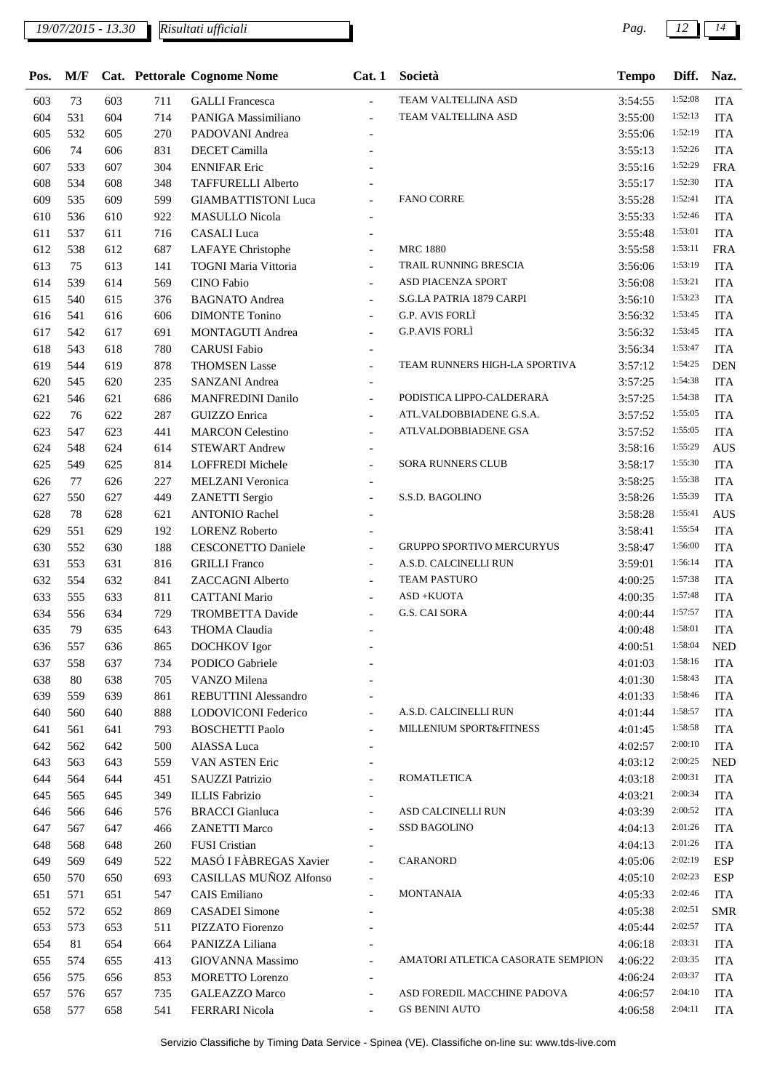| Pos. | M/F |     |     | Cat. Pettorale Cognome Nome   | Cat. 1                   | Società                           | <b>Tempo</b> | Diff.   | Naz.       |
|------|-----|-----|-----|-------------------------------|--------------------------|-----------------------------------|--------------|---------|------------|
| 603  | 73  | 603 | 711 | <b>GALLI</b> Francesca        | $\overline{\phantom{a}}$ | TEAM VALTELLINA ASD               | 3:54:55      | 1:52:08 | <b>ITA</b> |
| 604  | 531 | 604 | 714 | PANIGA Massimiliano           | $\overline{\phantom{a}}$ | TEAM VALTELLINA ASD               | 3:55:00      | 1:52:13 | <b>ITA</b> |
| 605  | 532 | 605 | 270 | PADOVANI Andrea               |                          |                                   | 3:55:06      | 1:52:19 | <b>ITA</b> |
| 606  | 74  | 606 | 831 | <b>DECET</b> Camilla          |                          |                                   | 3:55:13      | 1:52:26 | <b>ITA</b> |
| 607  | 533 | 607 | 304 | <b>ENNIFAR Eric</b>           |                          |                                   | 3:55:16      | 1:52:29 | <b>FRA</b> |
| 608  | 534 | 608 | 348 | <b>TAFFURELLI Alberto</b>     |                          |                                   | 3:55:17      | 1:52:30 | <b>ITA</b> |
| 609  | 535 | 609 | 599 | <b>GIAMBATTISTONI Luca</b>    |                          | <b>FANO CORRE</b>                 | 3:55:28      | 1:52:41 | <b>ITA</b> |
| 610  | 536 | 610 | 922 | <b>MASULLO</b> Nicola         |                          |                                   | 3:55:33      | 1:52:46 | <b>ITA</b> |
| 611  | 537 | 611 | 716 | <b>CASALI</b> Luca            |                          |                                   | 3:55:48      | 1:53:01 | <b>ITA</b> |
| 612  | 538 | 612 | 687 | LAFAYE Christophe             | $\overline{a}$           | <b>MRC 1880</b>                   | 3:55:58      | 1:53:11 | <b>FRA</b> |
| 613  | 75  | 613 | 141 | <b>TOGNI Maria Vittoria</b>   |                          | TRAIL RUNNING BRESCIA             | 3:56:06      | 1:53:19 | <b>ITA</b> |
| 614  | 539 | 614 | 569 | <b>CINO</b> Fabio             |                          | ASD PIACENZA SPORT                | 3:56:08      | 1:53:21 | <b>ITA</b> |
| 615  | 540 | 615 | 376 | <b>BAGNATO</b> Andrea         |                          | S.G.LA PATRIA 1879 CARPI          | 3:56:10      | 1:53:23 | <b>ITA</b> |
| 616  | 541 | 616 | 606 | <b>DIMONTE Tonino</b>         | $\overline{\phantom{a}}$ | G.P. AVIS FORLÌ                   | 3:56:32      | 1:53:45 | <b>ITA</b> |
| 617  | 542 | 617 | 691 | MONTAGUTI Andrea              | $\overline{\phantom{a}}$ | <b>G.P.AVIS FORLI</b>             | 3:56:32      | 1:53:45 | <b>ITA</b> |
| 618  | 543 | 618 | 780 | <b>CARUSI</b> Fabio           |                          |                                   | 3:56:34      | 1:53:47 | <b>ITA</b> |
| 619  | 544 | 619 | 878 | <b>THOMSEN Lasse</b>          |                          | TEAM RUNNERS HIGH-LA SPORTIVA     | 3:57:12      | 1:54:25 | <b>DEN</b> |
| 620  | 545 | 620 | 235 | <b>SANZANI</b> Andrea         | $\blacksquare$           |                                   | 3:57:25      | 1:54:38 | <b>ITA</b> |
| 621  | 546 | 621 | 686 | <b>MANFREDINI Danilo</b>      |                          | PODISTICA LIPPO-CALDERARA         | 3:57:25      | 1:54:38 | <b>ITA</b> |
| 622  | 76  | 622 | 287 | <b>GUIZZO</b> Enrica          | $\overline{\phantom{a}}$ | ATL.VALDOBBIADENE G.S.A.          | 3:57:52      | 1:55:05 | <b>ITA</b> |
| 623  | 547 | 623 | 441 | <b>MARCON Celestino</b>       | $\overline{\phantom{a}}$ | ATLVALDOBBIADENE GSA              | 3:57:52      | 1:55:05 | <b>ITA</b> |
| 624  | 548 | 624 | 614 | <b>STEWART Andrew</b>         |                          |                                   | 3:58:16      | 1:55:29 | <b>AUS</b> |
| 625  | 549 | 625 | 814 | LOFFREDI Michele              |                          | <b>SORA RUNNERS CLUB</b>          | 3:58:17      | 1:55:30 | <b>ITA</b> |
| 626  | 77  | 626 | 227 | <b>MELZANI</b> Veronica       |                          |                                   | 3:58:25      | 1:55:38 | <b>ITA</b> |
| 627  | 550 | 627 | 449 | <b>ZANETTI</b> Sergio         | $\overline{a}$           | S.S.D. BAGOLINO                   | 3:58:26      | 1:55:39 | <b>ITA</b> |
| 628  | 78  | 628 | 621 | <b>ANTONIO Rachel</b>         |                          |                                   | 3:58:28      | 1:55:41 | <b>AUS</b> |
| 629  | 551 | 629 | 192 | <b>LORENZ Roberto</b>         |                          |                                   | 3:58:41      | 1:55:54 | <b>ITA</b> |
| 630  | 552 | 630 | 188 | <b>CESCONETTO Daniele</b>     | $\overline{a}$           | <b>GRUPPO SPORTIVO MERCURYUS</b>  | 3:58:47      | 1:56:00 | <b>ITA</b> |
| 631  | 553 | 631 | 816 | <b>GRILLI</b> Franco          | $\overline{\phantom{a}}$ | A.S.D. CALCINELLI RUN             | 3:59:01      | 1:56:14 | <b>ITA</b> |
| 632  | 554 | 632 | 841 | <b>ZACCAGNI Alberto</b>       | $\blacksquare$           | TEAM PASTURO                      | 4:00:25      | 1:57:38 | <b>ITA</b> |
| 633  | 555 | 633 | 811 | <b>CATTANI Mario</b>          | $\overline{a}$           | ASD+KUOTA                         | 4:00:35      | 1:57:48 | <b>ITA</b> |
| 634  | 556 | 634 | 729 | <b>TROMBETTA Davide</b>       | $\overline{\phantom{a}}$ | G.S. CAI SORA                     | 4:00:44      | 1:57:57 | <b>ITA</b> |
| 635  | 79  | 635 | 643 | THOMA Claudia                 |                          |                                   | 4:00:48      | 1:58:01 | <b>ITA</b> |
| 636  | 557 | 636 | 865 | <b>DOCHKOV</b> Igor           |                          |                                   | 4:00:51      | 1:58:04 | <b>NED</b> |
| 637  | 558 | 637 | 734 | PODICO Gabriele               |                          |                                   | 4:01:03      | 1:58:16 | <b>ITA</b> |
| 638  | 80  | 638 | 705 | VANZO Milena                  |                          |                                   | 4:01:30      | 1:58:43 | <b>ITA</b> |
| 639  | 559 | 639 | 861 | <b>REBUTTINI Alessandro</b>   |                          |                                   | 4:01:33      | 1:58:46 | <b>ITA</b> |
| 640  | 560 | 640 | 888 | LODOVICONI Federico           | $\overline{a}$           | A.S.D. CALCINELLI RUN             | 4:01:44      | 1:58:57 | <b>ITA</b> |
| 641  | 561 | 641 | 793 | <b>BOSCHETTI Paolo</b>        | $\overline{\phantom{a}}$ | MILLENIUM SPORT&FITNESS           | 4:01:45      | 1:58:58 | <b>ITA</b> |
| 642  | 562 | 642 | 500 | AIASSA Luca                   |                          |                                   | 4:02:57      | 2:00:10 | <b>ITA</b> |
| 643  | 563 | 643 | 559 | VAN ASTEN Eric                |                          |                                   | 4:03:12      | 2:00:25 | <b>NED</b> |
| 644  | 564 | 644 | 451 | <b>SAUZZI Patrizio</b>        |                          | ROMATLETICA                       | 4:03:18      | 2:00:31 | <b>ITA</b> |
| 645  | 565 | 645 | 349 | <b>ILLIS Fabrizio</b>         | $\overline{\phantom{a}}$ |                                   | 4:03:21      | 2:00:34 | <b>ITA</b> |
| 646  | 566 | 646 | 576 | <b>BRACCI</b> Gianluca        |                          | ASD CALCINELLI RUN                | 4:03:39      | 2:00:52 | <b>ITA</b> |
| 647  | 567 | 647 | 466 | <b>ZANETTI Marco</b>          | $\blacksquare$           | <b>SSD BAGOLINO</b>               | 4:04:13      | 2:01:26 | <b>ITA</b> |
| 648  | 568 | 648 | 260 | <b>FUSI</b> Cristian          |                          |                                   | 4:04:13      | 2:01:26 | <b>ITA</b> |
| 649  | 569 | 649 | 522 | MASÓ I FÀBREGAS Xavier        |                          | CARANORD                          | 4:05:06      | 2:02:19 | <b>ESP</b> |
| 650  | 570 | 650 | 693 | <b>CASILLAS MUÑOZ Alfonso</b> | $\blacksquare$           |                                   | 4:05:10      | 2:02:23 | <b>ESP</b> |
| 651  | 571 | 651 | 547 | CAIS Emiliano                 |                          | <b>MONTANAIA</b>                  | 4:05:33      | 2:02:46 | <b>ITA</b> |
| 652  | 572 | 652 | 869 | <b>CASADEI</b> Simone         |                          |                                   | 4:05:38      | 2:02:51 | <b>SMR</b> |
| 653  | 573 | 653 | 511 | PIZZATO Fiorenzo              |                          |                                   | 4:05:44      | 2:02:57 | <b>ITA</b> |
| 654  | 81  | 654 | 664 | PANIZZA Liliana               |                          |                                   | 4:06:18      | 2:03:31 | <b>ITA</b> |
| 655  | 574 | 655 | 413 | GIOVANNA Massimo              |                          | AMATORI ATLETICA CASORATE SEMPION | 4:06:22      | 2:03:35 | <b>ITA</b> |
| 656  | 575 | 656 | 853 | <b>MORETTO Lorenzo</b>        |                          |                                   | 4:06:24      | 2:03:37 | <b>ITA</b> |
| 657  | 576 | 657 | 735 | <b>GALEAZZO Marco</b>         | $\overline{\phantom{a}}$ | ASD FOREDIL MACCHINE PADOVA       | 4:06:57      | 2:04:10 | <b>ITA</b> |
| 658  | 577 | 658 | 541 | <b>FERRARI</b> Nicola         |                          | <b>GS BENINI AUTO</b>             | 4:06:58      | 2:04:11 | <b>ITA</b> |
|      |     |     |     |                               |                          |                                   |              |         |            |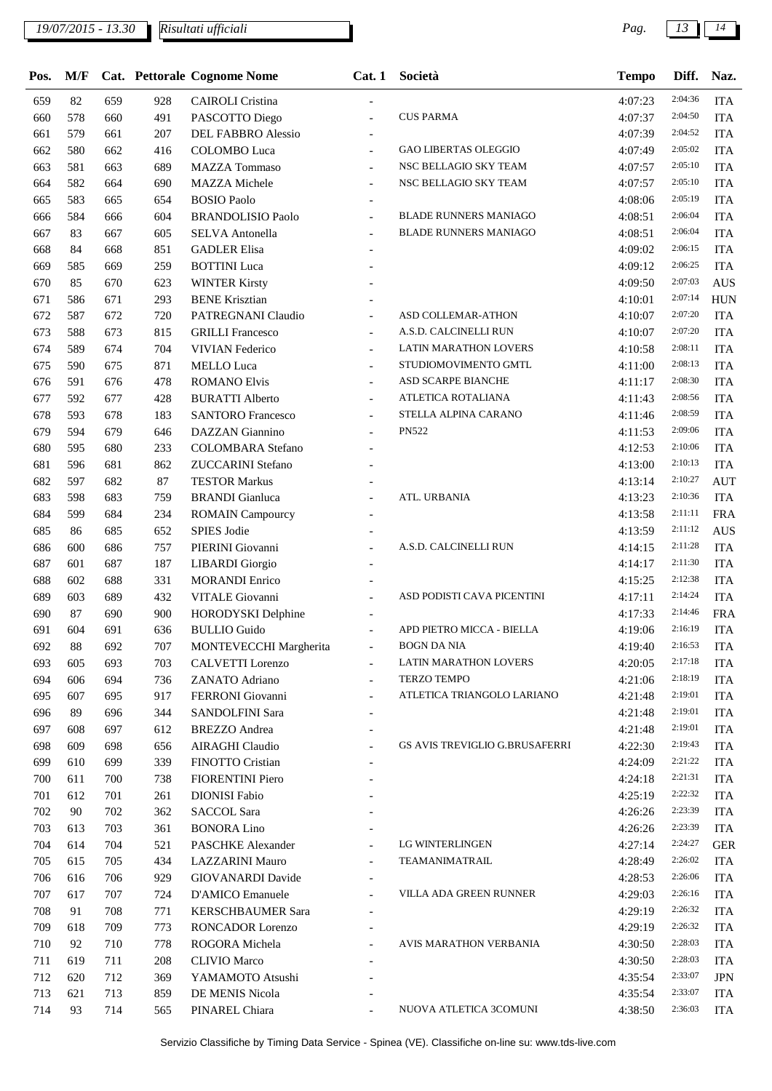| Pos. | M/F    |     |     | Cat. Pettorale Cognome Nome | Cat.1                    | Società                        | <b>Tempo</b> | Diff.   | Naz.       |
|------|--------|-----|-----|-----------------------------|--------------------------|--------------------------------|--------------|---------|------------|
| 659  | 82     | 659 | 928 | <b>CAIROLI</b> Cristina     |                          |                                | 4:07:23      | 2:04:36 | <b>ITA</b> |
| 660  | 578    | 660 | 491 | PASCOTTO Diego              | $\overline{a}$           | <b>CUS PARMA</b>               | 4:07:37      | 2:04:50 | <b>ITA</b> |
| 661  | 579    | 661 | 207 | DEL FABBRO Alessio          |                          |                                | 4:07:39      | 2:04:52 | <b>ITA</b> |
| 662  | 580    | 662 | 416 | COLOMBO Luca                | $\overline{a}$           | <b>GAO LIBERTAS OLEGGIO</b>    | 4:07:49      | 2:05:02 | <b>ITA</b> |
| 663  | 581    | 663 | 689 | <b>MAZZA Tommaso</b>        | $\overline{\phantom{a}}$ | NSC BELLAGIO SKY TEAM          | 4:07:57      | 2:05:10 | <b>ITA</b> |
| 664  | 582    | 664 | 690 | <b>MAZZA</b> Michele        | $\overline{a}$           | NSC BELLAGIO SKY TEAM          | 4:07:57      | 2:05:10 | <b>ITA</b> |
| 665  | 583    | 665 | 654 | <b>BOSIO Paolo</b>          |                          |                                | 4:08:06      | 2:05:19 | <b>ITA</b> |
| 666  | 584    | 666 | 604 | <b>BRANDOLISIO Paolo</b>    |                          | <b>BLADE RUNNERS MANIAGO</b>   | 4:08:51      | 2:06:04 | <b>ITA</b> |
| 667  | 83     | 667 | 605 | <b>SELVA Antonella</b>      | $\overline{\phantom{a}}$ | <b>BLADE RUNNERS MANIAGO</b>   | 4:08:51      | 2:06:04 | <b>ITA</b> |
| 668  | 84     | 668 | 851 | <b>GADLER Elisa</b>         |                          |                                | 4:09:02      | 2:06:15 | <b>ITA</b> |
| 669  | 585    | 669 | 259 | <b>BOTTINI</b> Luca         |                          |                                | 4:09:12      | 2:06:25 | <b>ITA</b> |
| 670  | 85     | 670 | 623 | <b>WINTER Kirsty</b>        |                          |                                | 4:09:50      | 2:07:03 | <b>AUS</b> |
| 671  | 586    | 671 | 293 | <b>BENE Krisztian</b>       |                          |                                | 4:10:01      | 2:07:14 | <b>HUN</b> |
| 672  | 587    | 672 | 720 | PATREGNANI Claudio          | $\overline{a}$           | ASD COLLEMAR-ATHON             | 4:10:07      | 2:07:20 | <b>ITA</b> |
| 673  | 588    | 673 | 815 | <b>GRILLI</b> Francesco     |                          | A.S.D. CALCINELLI RUN          | 4:10:07      | 2:07:20 | <b>ITA</b> |
| 674  | 589    | 674 | 704 | <b>VIVIAN Federico</b>      |                          | LATIN MARATHON LOVERS          | 4:10:58      | 2:08:11 | <b>ITA</b> |
| 675  | 590    | 675 | 871 | <b>MELLO</b> Luca           |                          | STUDIOMOVIMENTO GMTL           | 4:11:00      | 2:08:13 | <b>ITA</b> |
| 676  | 591    | 676 | 478 | <b>ROMANO Elvis</b>         | $\overline{\phantom{a}}$ | ASD SCARPE BIANCHE             | 4:11:17      | 2:08:30 | <b>ITA</b> |
| 677  | 592    | 677 | 428 | <b>BURATTI Alberto</b>      | $\overline{\phantom{a}}$ | ATLETICA ROTALIANA             | 4:11:43      | 2:08:56 | <b>ITA</b> |
| 678  | 593    | 678 | 183 | <b>SANTORO</b> Francesco    | $\overline{\phantom{a}}$ | STELLA ALPINA CARANO           | 4:11:46      | 2:08:59 | <b>ITA</b> |
| 679  | 594    | 679 | 646 | <b>DAZZAN</b> Giannino      |                          | <b>PN522</b>                   | 4:11:53      | 2:09:06 | <b>ITA</b> |
| 680  | 595    | 680 | 233 | COLOMBARA Stefano           |                          |                                | 4:12:53      | 2:10:06 | <b>ITA</b> |
| 681  | 596    | 681 | 862 | ZUCCARINI Stefano           |                          |                                | 4:13:00      | 2:10:13 | <b>ITA</b> |
| 682  | 597    | 682 | 87  | <b>TESTOR Markus</b>        |                          |                                | 4:13:14      | 2:10:27 | <b>AUT</b> |
| 683  | 598    | 683 | 759 | <b>BRANDI</b> Gianluca      |                          | ATL. URBANIA                   | 4:13:23      | 2:10:36 | <b>ITA</b> |
| 684  | 599    | 684 | 234 | <b>ROMAIN Campourcy</b>     |                          |                                | 4:13:58      | 2:11:11 | <b>FRA</b> |
| 685  | 86     | 685 | 652 | SPIES Jodie                 |                          |                                | 4:13:59      | 2:11:12 | <b>AUS</b> |
| 686  | 600    | 686 | 757 | PIERINI Giovanni            | $\overline{a}$           | A.S.D. CALCINELLI RUN          | 4:14:15      | 2:11:28 | <b>ITA</b> |
| 687  | 601    | 687 | 187 | <b>LIBARDI</b> Giorgio      |                          |                                | 4:14:17      | 2:11:30 | <b>ITA</b> |
| 688  | 602    | 688 | 331 | <b>MORANDI Enrico</b>       | $\overline{\phantom{a}}$ |                                | 4:15:25      | 2:12:38 | <b>ITA</b> |
| 689  | 603    | 689 | 432 | VITALE Giovanni             |                          | ASD PODISTI CAVA PICENTINI     | 4:17:11      | 2:14:24 | <b>ITA</b> |
| 690  | 87     | 690 | 900 | HORODYSKI Delphine          |                          |                                | 4:17:33      | 2:14:46 | <b>FRA</b> |
| 691  | 604    | 691 | 636 | <b>BULLIO</b> Guido         |                          | APD PIETRO MICCA - BIELLA      | 4:19:06      | 2:16:19 | <b>ITA</b> |
| 692  | $88\,$ | 692 | 707 | MONTEVECCHI Margherita      |                          | BOGN DA NIA                    | 4:19:40      | 2:16:53 | <b>ITA</b> |
| 693  | 605    | 693 | 703 | CALVETTI Lorenzo            |                          | LATIN MARATHON LOVERS          | 4:20:05      | 2:17:18 | <b>ITA</b> |
| 694  | 606    | 694 | 736 | ZANATO Adriano              | $\blacksquare$           | TERZO TEMPO                    | 4:21:06      | 2:18:19 | ITA        |
| 695  | 607    | 695 | 917 | FERRONI Giovanni            | $\blacksquare$           | ATLETICA TRIANGOLO LARIANO     | 4:21:48      | 2:19:01 | <b>ITA</b> |
| 696  | 89     | 696 | 344 | SANDOLFINI Sara             | $\overline{\phantom{a}}$ |                                | 4:21:48      | 2:19:01 | <b>ITA</b> |
| 697  | 608    | 697 | 612 | <b>BREZZO</b> Andrea        |                          |                                | 4:21:48      | 2:19:01 | <b>ITA</b> |
| 698  | 609    | 698 | 656 | <b>AIRAGHI Claudio</b>      |                          | GS AVIS TREVIGLIO G.BRUSAFERRI | 4:22:30      | 2:19:43 | <b>ITA</b> |
| 699  | 610    | 699 | 339 | FINOTTO Cristian            |                          |                                | 4:24:09      | 2:21:22 | <b>ITA</b> |
| 700  | 611    | 700 | 738 | <b>FIORENTINI Piero</b>     |                          |                                | 4:24:18      | 2:21:31 | <b>ITA</b> |
| 701  | 612    | 701 | 261 | <b>DIONISI Fabio</b>        |                          |                                | 4:25:19      | 2:22:32 | <b>ITA</b> |
| 702  | 90     | 702 | 362 | SACCOL Sara                 |                          |                                | 4:26:26      | 2:23:39 | <b>ITA</b> |
| 703  | 613    | 703 | 361 | <b>BONORA Lino</b>          |                          |                                | 4:26:26      | 2:23:39 | <b>ITA</b> |
| 704  | 614    | 704 | 521 | PASCHKE Alexander           |                          | LG WINTERLINGEN                | 4:27:14      | 2:24:27 | <b>GER</b> |
| 705  | 615    | 705 | 434 | <b>LAZZARINI Mauro</b>      |                          | TEAMANIMATRAIL                 | 4:28:49      | 2:26:02 | <b>ITA</b> |
| 706  | 616    | 706 | 929 | GIOVANARDI Davide           |                          |                                | 4:28:53      | 2:26:06 | <b>ITA</b> |
| 707  | 617    | 707 | 724 | D'AMICO Emanuele            | $\overline{\phantom{a}}$ | VILLA ADA GREEN RUNNER         | 4:29:03      | 2:26:16 | <b>ITA</b> |
| 708  | 91     | 708 | 771 | <b>KERSCHBAUMER Sara</b>    | $\overline{a}$           |                                | 4:29:19      | 2:26:32 | <b>ITA</b> |
| 709  | 618    | 709 | 773 | RONCADOR Lorenzo            |                          |                                | 4:29:19      | 2:26:32 | <b>ITA</b> |
| 710  | 92     | 710 | 778 | ROGORA Michela              | $\overline{\phantom{a}}$ | AVIS MARATHON VERBANIA         | 4:30:50      | 2:28:03 | <b>ITA</b> |
| 711  | 619    | 711 | 208 | <b>CLIVIO Marco</b>         |                          |                                | 4:30:50      | 2:28:03 | <b>ITA</b> |
| 712  | 620    | 712 | 369 | YAMAMOTO Atsushi            |                          |                                | 4:35:54      | 2:33:07 | <b>JPN</b> |
| 713  | 621    | 713 | 859 | DE MENIS Nicola             |                          |                                | 4:35:54      | 2:33:07 | <b>ITA</b> |
| 714  | 93     | 714 | 565 | PINAREL Chiara              | $\blacksquare$           | NUOVA ATLETICA 3COMUNI         | 4:38:50      | 2:36:03 | <b>ITA</b> |